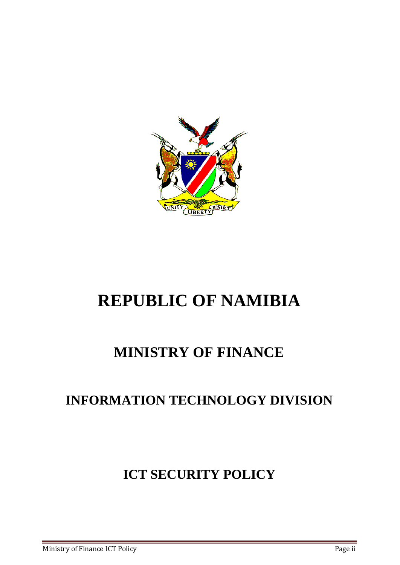

# **REPUBLIC OF NAMIBIA**

# **MINISTRY OF FINANCE**

# **INFORMATION TECHNOLOGY DIVISION**

# **ICT SECURITY POLICY**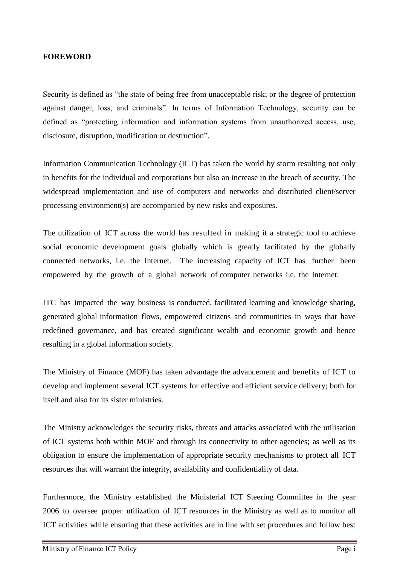### <span id="page-1-0"></span>**FOREWORD**

Security is defined as "the state of being free from unacceptable risk; or the degree of protection against danger, loss, and criminals". In terms of Information Technology, security can be defined as "protecting information and information systems from unauthorized access, use, disclosure, disruption, modification or destruction".

Information Communication Technology (ICT) has taken the world by storm resulting not only in benefits for the individual and corporations but also an increase in the breach of security. The widespread implementation and use of computers and networks and distributed client/server processing environment(s) are accompanied by new risks and exposures.

The utilization of ICT across the world has resulted in making it a strategic tool to achieve social economic development goals globally which is greatly facilitated by the globally connected networks, i.e. the Internet. The increasing capacity of ICT has further been empowered by the growth of a global network of computer networks i.e. the Internet.

ITC has impacted the way business is conducted, facilitated learning and knowledge sharing, generated global information flows, empowered citizens and communities in ways that have redefined governance, and has created significant wealth and economic growth and hence resulting in a global information society.

The Ministry of Finance (MOF) has taken advantage the advancement and benefits of ICT to develop and implement several ICT systems for effective and efficient service delivery; both for itself and also for its sister ministries.

The Ministry acknowledges the security risks, threats and attacks associated with the utilisation of ICT systems both within MOF and through its connectivity to other agencies; as well as its obligation to ensure the implementation of appropriate security mechanisms to protect all ICT resources that will warrant the integrity, availability and confidentiality of data.

Furthermore, the Ministry established the Ministerial ICT Steering Committee in the year 2006 to oversee proper utilization of ICT resources in the Ministry as well as to monitor all ICT activities while ensuring that these activities are in line with set procedures and follow best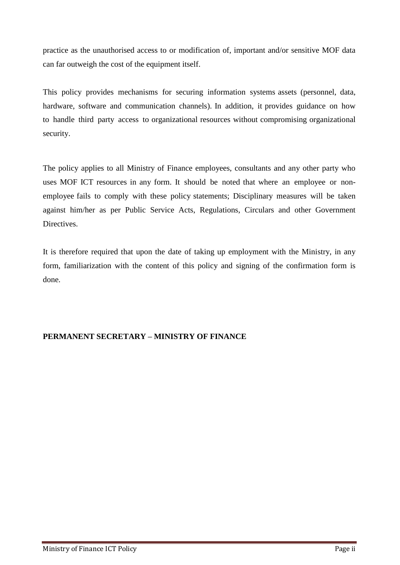practice as the unauthorised access to or modification of, important and/or sensitive MOF data can far outweigh the cost of the equipment itself.

This policy provides mechanisms for securing information systems assets (personnel, data, hardware, software and communication channels). In addition, it provides guidance on how to handle third party access to organizational resources without compromising organizational security.

The policy applies to all Ministry of Finance employees, consultants and any other party who uses MOF ICT resources in any form. It should be noted that where an employee or nonemployee fails to comply with these policy statements; Disciplinary measures will be taken against him/her as per Public Service Acts, Regulations, Circulars and other Government Directives.

It is therefore required that upon the date of taking up employment with the Ministry, in any form, familiarization with the content of this policy and signing of the confirmation form is done.

# **PERMANENT SECRETARY – MINISTRY OF FINANCE**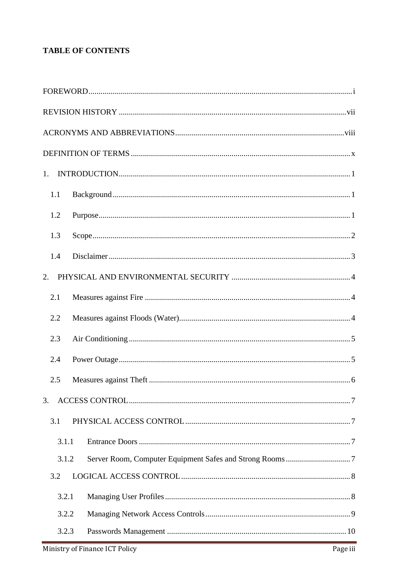# **TABLE OF CONTENTS**

| 1.    |  |
|-------|--|
| 1.1   |  |
| 1.2   |  |
| 1.3   |  |
| 1.4   |  |
| 2.    |  |
| 2.1   |  |
| 2.2   |  |
| 2.3   |  |
| 2.4   |  |
| 2.5   |  |
| 3.    |  |
| 3.1   |  |
| 3.1.1 |  |
| 3.1.2 |  |
| 3.2   |  |
| 3.2.1 |  |
| 3.2.2 |  |
| 3.2.3 |  |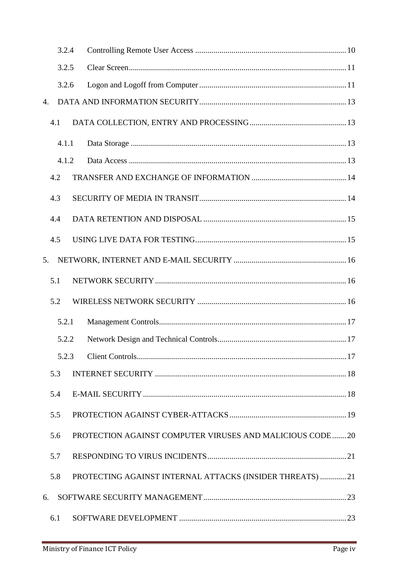|                | 3.2.4 |                                                           |
|----------------|-------|-----------------------------------------------------------|
|                | 3.2.5 |                                                           |
|                | 3.2.6 |                                                           |
| $\mathbf{4}$ . |       |                                                           |
|                | 4.1   |                                                           |
|                | 4.1.1 |                                                           |
|                | 4.1.2 |                                                           |
|                | 4.2   |                                                           |
|                | 4.3   |                                                           |
|                | 4.4   |                                                           |
|                | 4.5   |                                                           |
| 5.             |       |                                                           |
|                | 5.1   |                                                           |
|                | 5.2   |                                                           |
|                | 5.2.1 |                                                           |
|                | 5.2.2 |                                                           |
|                | 5.2.3 |                                                           |
|                | 5.3   |                                                           |
|                | 5.4   |                                                           |
|                | 5.5   |                                                           |
|                | 5.6   | PROTECTION AGAINST COMPUTER VIRUSES AND MALICIOUS CODE20  |
|                | 5.7   |                                                           |
|                | 5.8   | PROTECTING AGAINST INTERNAL ATTACKS (INSIDER THREATS)  21 |
| 6.             |       |                                                           |
|                | 6.1   |                                                           |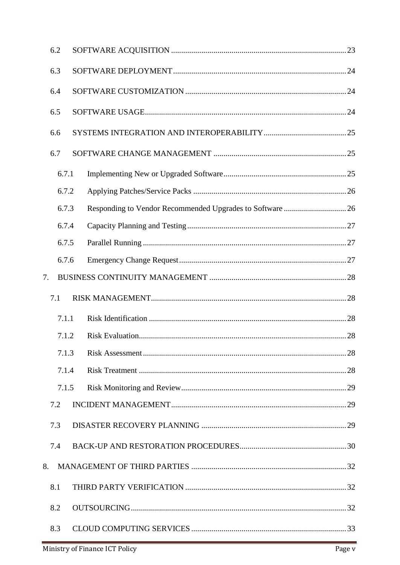| 6.2   |  |  |
|-------|--|--|
| 6.3   |  |  |
| 6.4   |  |  |
| 6.5   |  |  |
| 6.6   |  |  |
| 6.7   |  |  |
| 6.7.1 |  |  |
| 6.7.2 |  |  |
| 6.7.3 |  |  |
| 6.7.4 |  |  |
| 6.7.5 |  |  |
| 6.7.6 |  |  |
| 7.    |  |  |
| 7.1   |  |  |
| 7.1.1 |  |  |
| 7.1.2 |  |  |
| 7.1.3 |  |  |
| 7.1.4 |  |  |
| 7.1.5 |  |  |
| 7.2   |  |  |
| 7.3   |  |  |
| 7.4   |  |  |
| 8.    |  |  |
| 8.1   |  |  |
| 8.2   |  |  |
| 8.3   |  |  |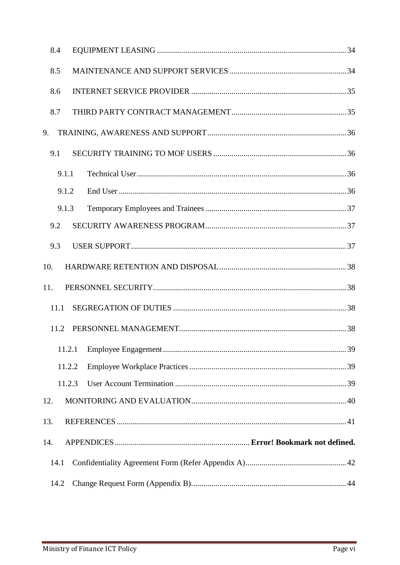| 8.4    |  |
|--------|--|
| 8.5    |  |
| 8.6    |  |
| 8.7    |  |
| 9.     |  |
| 9.1    |  |
| 9.1.1  |  |
| 9.1.2  |  |
| 9.1.3  |  |
| 9.2    |  |
| 9.3    |  |
| 10.    |  |
| 11.    |  |
| 11.1   |  |
| 11.2   |  |
| 11.2.1 |  |
| 11.2.2 |  |
| 11.2.3 |  |
| 12.    |  |
| 13.    |  |
| 14.    |  |
| 14.1   |  |
| 14.2   |  |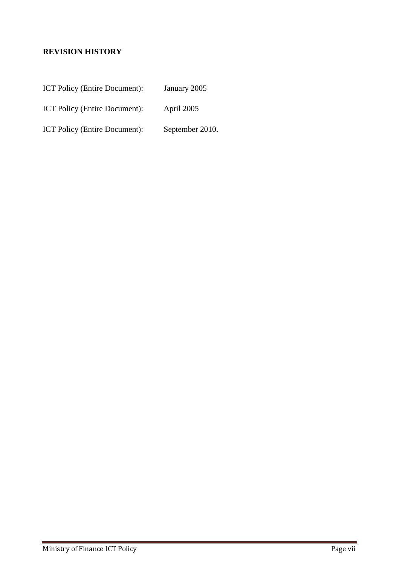# <span id="page-7-0"></span>**REVISION HISTORY**

| <b>ICT Policy (Entire Document):</b> | January 2005 |
|--------------------------------------|--------------|
|--------------------------------------|--------------|

ICT Policy (Entire Document): April 2005

ICT Policy (Entire Document): September 2010.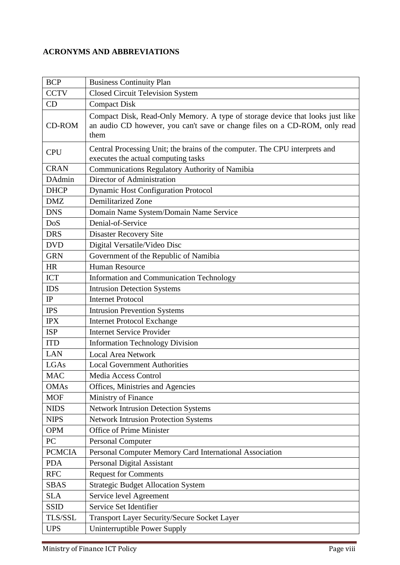# <span id="page-8-0"></span>**ACRONYMS AND ABBREVIATIONS**

| <b>BCP</b>    | <b>Business Continuity Plan</b>                                                                                                                                     |  |  |  |  |  |
|---------------|---------------------------------------------------------------------------------------------------------------------------------------------------------------------|--|--|--|--|--|
| <b>CCTV</b>   | <b>Closed Circuit Television System</b>                                                                                                                             |  |  |  |  |  |
| CD            | <b>Compact Disk</b>                                                                                                                                                 |  |  |  |  |  |
| <b>CD-ROM</b> | Compact Disk, Read-Only Memory. A type of storage device that looks just like<br>an audio CD however, you can't save or change files on a CD-ROM, only read<br>them |  |  |  |  |  |
| <b>CPU</b>    | Central Processing Unit; the brains of the computer. The CPU interprets and<br>executes the actual computing tasks                                                  |  |  |  |  |  |
| <b>CRAN</b>   | <b>Communications Regulatory Authority of Namibia</b>                                                                                                               |  |  |  |  |  |
| DAdmin        | Director of Administration                                                                                                                                          |  |  |  |  |  |
| <b>DHCP</b>   | <b>Dynamic Host Configuration Protocol</b>                                                                                                                          |  |  |  |  |  |
| <b>DMZ</b>    | <b>Demilitarized Zone</b>                                                                                                                                           |  |  |  |  |  |
| <b>DNS</b>    | Domain Name System/Domain Name Service                                                                                                                              |  |  |  |  |  |
| DoS           | Denial-of-Service                                                                                                                                                   |  |  |  |  |  |
| <b>DRS</b>    | <b>Disaster Recovery Site</b>                                                                                                                                       |  |  |  |  |  |
| <b>DVD</b>    | Digital Versatile/Video Disc                                                                                                                                        |  |  |  |  |  |
| <b>GRN</b>    | Government of the Republic of Namibia                                                                                                                               |  |  |  |  |  |
| <b>HR</b>     | <b>Human Resource</b>                                                                                                                                               |  |  |  |  |  |
| <b>ICT</b>    | Information and Communication Technology                                                                                                                            |  |  |  |  |  |
| <b>IDS</b>    | <b>Intrusion Detection Systems</b>                                                                                                                                  |  |  |  |  |  |
| IP            | <b>Internet Protocol</b>                                                                                                                                            |  |  |  |  |  |
| <b>IPS</b>    | <b>Intrusion Prevention Systems</b>                                                                                                                                 |  |  |  |  |  |
| <b>IPX</b>    | <b>Internet Protocol Exchange</b>                                                                                                                                   |  |  |  |  |  |
| <b>ISP</b>    | <b>Internet Service Provider</b>                                                                                                                                    |  |  |  |  |  |
| <b>ITD</b>    | <b>Information Technology Division</b>                                                                                                                              |  |  |  |  |  |
| <b>LAN</b>    | <b>Local Area Network</b>                                                                                                                                           |  |  |  |  |  |
| LGAs          | <b>Local Government Authorities</b>                                                                                                                                 |  |  |  |  |  |
| <b>MAC</b>    | Media Access Control                                                                                                                                                |  |  |  |  |  |
| <b>OMAs</b>   | Offices, Ministries and Agencies                                                                                                                                    |  |  |  |  |  |
| <b>MOF</b>    | Ministry of Finance                                                                                                                                                 |  |  |  |  |  |
| <b>NIDS</b>   | <b>Network Intrusion Detection Systems</b>                                                                                                                          |  |  |  |  |  |
| <b>NIPS</b>   | Network Intrusion Protection Systems                                                                                                                                |  |  |  |  |  |
| <b>OPM</b>    | Office of Prime Minister                                                                                                                                            |  |  |  |  |  |
| PC            | <b>Personal Computer</b>                                                                                                                                            |  |  |  |  |  |
| <b>PCMCIA</b> | Personal Computer Memory Card International Association                                                                                                             |  |  |  |  |  |
| <b>PDA</b>    | Personal Digital Assistant                                                                                                                                          |  |  |  |  |  |
| <b>RFC</b>    | <b>Request for Comments</b>                                                                                                                                         |  |  |  |  |  |
| <b>SBAS</b>   | <b>Strategic Budget Allocation System</b>                                                                                                                           |  |  |  |  |  |
| <b>SLA</b>    | Service level Agreement                                                                                                                                             |  |  |  |  |  |
| <b>SSID</b>   | Service Set Identifier                                                                                                                                              |  |  |  |  |  |
| TLS/SSL       | Transport Layer Security/Secure Socket Layer                                                                                                                        |  |  |  |  |  |
| <b>UPS</b>    | Uninterruptible Power Supply                                                                                                                                        |  |  |  |  |  |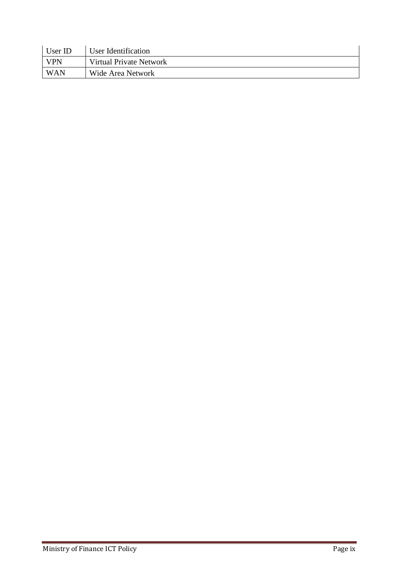| User ID    | User Identification     |
|------------|-------------------------|
| <b>VPN</b> | Virtual Private Network |
| <b>WAN</b> | Wide Area Network       |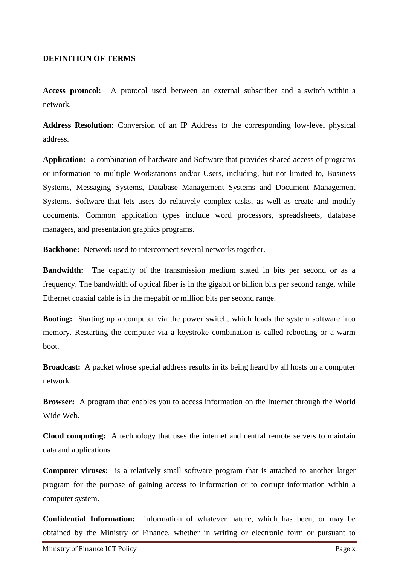#### <span id="page-10-0"></span>**DEFINITION OF TERMS**

**Access protocol:** A protocol used between an external subscriber and a switch within a network.

**Address Resolution:** Conversion of an IP Address to the corresponding low-level physical address.

**Application:** a combination of hardware and Software that provides shared access of programs or information to multiple Workstations and/or Users, including, but not limited to, Business Systems, Messaging Systems, Database Management Systems and Document Management Systems. Software that lets users do relatively complex tasks, as well as create and modify documents. Common application types include word processors, spreadsheets, database managers, and presentation graphics programs.

**Backbone:** Network used to interconnect several networks together.

**Bandwidth:** The capacity of the transmission medium stated in bits per second or as a frequency. The bandwidth of optical fiber is in the gigabit or billion bits per second range, while Ethernet coaxial cable is in the megabit or million bits per second range.

**Booting:** Starting up a computer via the power switch, which loads the system software into memory. Restarting the computer via a keystroke combination is called rebooting or a warm boot.

**Broadcast:** A packet whose special address results in its being heard by all hosts on a computer network.

**Browser:** A program that enables you to access information on the Internet through the World Wide Web.

**Cloud computing:** A technology that uses the internet and central remote servers to maintain data and applications.

**Computer viruses:** is a relatively small software program that is attached to another larger program for the purpose of gaining access to information or to corrupt information within a computer system.

**Confidential Information:** information of whatever nature, which has been, or may be obtained by the Ministry of Finance, whether in writing or electronic form or pursuant to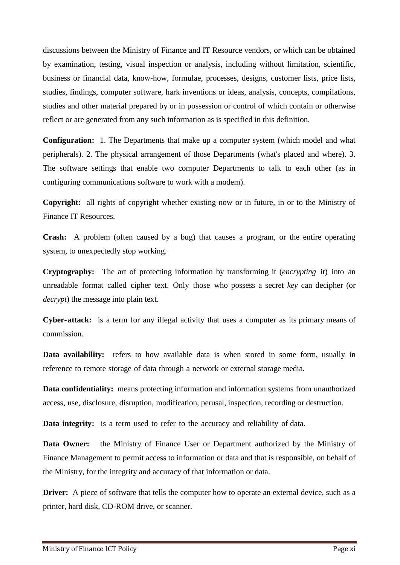discussions between the Ministry of Finance and IT Resource vendors, or which can be obtained by examination, testing, visual inspection or analysis, including without limitation, scientific, business or financial data, know-how, formulae, processes, designs, customer lists, price lists, studies, findings, computer software, hark inventions or ideas, analysis, concepts, compilations, studies and other material prepared by or in possession or control of which contain or otherwise reflect or are generated from any such information as is specified in this definition.

**Configuration:** 1. The Departments that make up a computer system (which model and what peripherals). 2. The physical arrangement of those Departments (what's placed and where). 3. The software settings that enable two computer Departments to talk to each other (as in configuring communications software to work with a modem).

**Copyright:** all rights of copyright whether existing now or in future, in or to the Ministry of Finance IT Resources.

**Crash:** A problem (often caused by a bug) that causes a program, or the entire operating system, to unexpectedly stop working.

**Cryptography:** The art of protecting information by transforming it (*[encrypting](http://www.webopedia.com/TERM/E/encryption.htm)* it) into an unreadable format called [cipher](http://www.webopedia.com/TERM/C/cipher_text.htm) text. Only those who possess a secret *key* can decipher (or *[decrypt](http://www.webopedia.com/TERM/D/decryption.htm)*) the message in[to plain](http://www.webopedia.com/TERM/P/plain_text.htm) text.

**Cyber-attack:** is a term for any illegal activity that uses a computer as its primary means of commission.

**Data availability:** refers to how available data is when stored in some form, usually in reference to remote storage of data through a network or external storage media.

**Data confidentiality:** means protecting information and [information](http://en.wikipedia.org/wiki/Information_system) [systems](http://en.wikipedia.org/wiki/Information_system) from unauthorized access, use, disclosure, disruption, modification, perusal, inspection, recording or destruction.

**Data integrity:** is a term used to refer to the accuracy and reliability of data.

**Data Owner:** the Ministry of Finance User or Department authorized by the Ministry of Finance Management to permit access to information or data and that is responsible, on behalf of the Ministry, for the integrity and accuracy of that information or data.

**Driver:** A piece of software that tells the computer how to operate an external device, such as a printer, hard disk, CD-ROM drive, or scanner.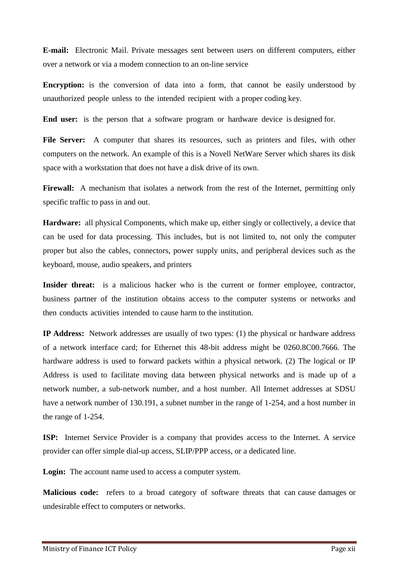**E-mail:** Electronic Mail. Private messages sent between users on different computers, either over a network or via a modem connection to an on-line service

**Encryption:** is the conversion of data into a form, that cannot be easily understood by unauthorized people unless to the intended recipient with a proper coding key.

**End user:** is the person that a software program or hardware device is designed for.

File Server: A computer that shares its resources, such as printers and files, with other computers on the network. An example of this is a Novell NetWare Server which shares its disk space with a workstation that does not have a disk drive of its own.

Firewall: A mechanism that isolates a network from the rest of the Internet, permitting only specific traffic to pass in and out.

**Hardware:** all physical Components, which make up, either singly or collectively, a device that can be used for data processing. This includes, but is not limited to, not only the computer proper but also the cables, connectors, power supply units, and peripheral devices such as the keyboard, mouse, audio speakers, and printers

Insider threat: is a malicious hacker who is the current or former employee, contractor, business partner of the institution obtains access to the computer systems or networks and then conducts activities intended to cause harm to the institution.

**IP Address:** Network addresses are usually of two types: (1) the physical or hardware address of a network interface card; for Ethernet this 48-bit address might be 0260.8C00.7666. The hardware address is used to forward packets within a physical network. (2) The logical or IP Address is used to facilitate moving data between physical networks and is made up of a network number, a sub-network number, and a host number. All Internet addresses at SDSU have a network number of 130.191, a subnet number in the range of 1-254, and a host number in the range of 1-254.

**ISP:** Internet Service Provider is a company that provides access to the Internet. A service provider can offer simple dial-up access, SLIP/PPP access, or a dedicated line.

**Login:** The account name used to access a computer system.

**Malicious code:** refers to a broad category of software threats that can cause damages or undesirable effect to computers or networks.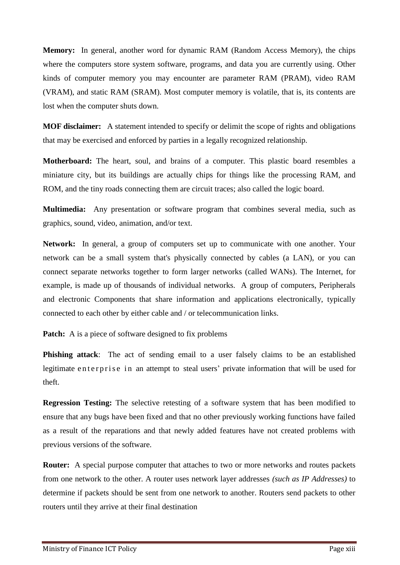**Memory:** In general, another word for dynamic RAM (Random Access Memory), the chips where the computers store system software, programs, and data you are currently using. Other kinds of computer memory you may encounter are parameter RAM (PRAM), video RAM (VRAM), and static RAM (SRAM). Most computer memory is volatile, that is, its contents are lost when the computer shuts down.

**MOF disclaimer:** A statement intended to specify or delimit the scope of rights and obligations that may be exercised and enforced by parties in a legally recognized relationship.

**Motherboard:** The heart, soul, and brains of a computer. This plastic board resembles a miniature city, but its buildings are actually chips for things like the processing RAM, and ROM, and the tiny roads connecting them are circuit traces; also called the logic board.

**Multimedia:** Any presentation or software program that combines several media, such as graphics, sound, video, animation, and/or text.

**Network:** In general, a group of computers set up to communicate with one another. Your network can be a small system that's physically connected by cables (a LAN), or you can connect separate networks together to form larger networks (called WANs). The Internet, for example, is made up of thousands of individual networks. A group of computers, Peripherals and electronic Components that share information and applications electronically, typically connected to each other by either cable and / or telecommunication links.

**Patch:** A is a piece of software designed to fix problems

**Phishing attack**: The act of sending email to a user falsely claims to be an established legitimate enterprise in an attempt to steal users' private information that will be used for theft.

**Regression Testing:** The selective retesting of a [software](http://www.webopedia.com/TERM/S/software.html) system that has been modified to ensure that any [bugs](http://www.webopedia.com/TERM/B/bug.html) have been fixed and that no other previously working functions have failed as a result of the reparations and that newly added features have not created problems with previous versions of the software.

**Router:** A special purpose computer that attaches to two or more networks and routes packets from one network to the other. A router uses network layer addresses *(such as IP Addresses)* to determine if packets should be sent from one network to another. Routers send packets to other routers until they arrive at their final destination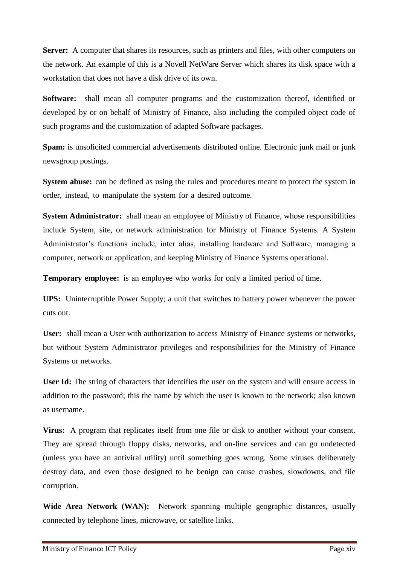**Server:** A computer that shares its resources, such as printers and files, with other computers on the network. An example of this is a Novell NetWare Server which shares its disk space with a workstation that does not have a disk drive of its own.

**Software:** shall mean all computer programs and the customization thereof, identified or developed by or on behalf of Ministry of Finance, also including the compiled object code of such programs and the customization of adapted Software packages.

**Spam:** is unsolicited commercial advertisements distributed online. Electronic junk mail or junk newsgroup postings.

**System abuse:** can be defined as using the rules and procedures meant to protect the system in order, instead, to manipulate the system for a desired outcome.

**System Administrator:** shall mean an employee of Ministry of Finance, whose responsibilities include System, site, or network administration for Ministry of Finance Systems. A System Administrator's functions include, inter alias, installing hardware and Software, managing a computer, network or application, and keeping Ministry of Finance Systems operational.

**Temporary employee:** is an employee who works for only a limited period of time.

**UPS:** Uninterruptible Power Supply; a unit that switches to battery power whenever the power cuts out.

**User:** shall mean a User with authorization to access Ministry of Finance systems or networks, but without System Administrator privileges and responsibilities for the Ministry of Finance Systems or networks.

User Id: The string of characters that identifies the user on the system and will ensure access in addition to the password; this the name by which the user is known to the network; also known as username.

**Virus:** A program that replicates itself from one file or disk to another without your consent. They are spread through floppy disks, networks, and on-line services and can go undetected (unless you have an antiviral utility) until something goes wrong. Some viruses deliberately destroy data, and even those designed to be benign can cause crashes, slowdowns, and file corruption.

**Wide Area Network (WAN):** Network spanning multiple geographic distances, usually connected by telephone lines, microwave, or satellite links.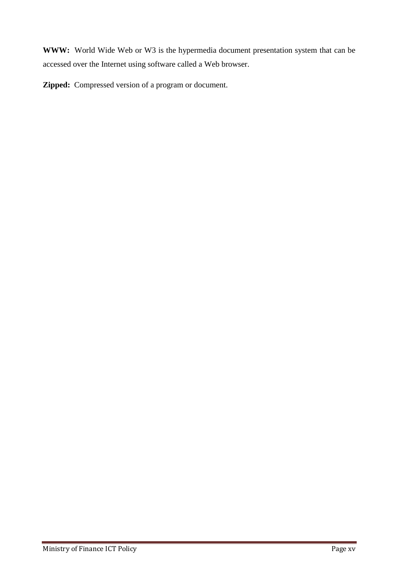**WWW:** World Wide Web or W3 is the hypermedia document presentation system that can be accessed over the Internet using software called a Web browser.

**Zipped:** Compressed version of a program or document.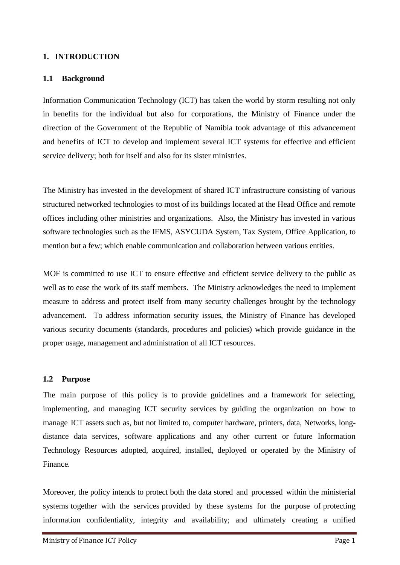## <span id="page-16-0"></span>**1. INTRODUCTION**

#### <span id="page-16-1"></span>**1.1 Background**

Information Communication Technology (ICT) has taken the world by storm resulting not only in benefits for the individual but also for corporations, the Ministry of Finance under the direction of the Government of the Republic of Namibia took advantage of this advancement and benefits of ICT to develop and implement several ICT systems for effective and efficient service delivery; both for itself and also for its sister ministries.

The Ministry has invested in the development of shared ICT infrastructure consisting of various structured networked technologies to most of its buildings located at the Head Office and remote offices including other ministries and organizations. Also, the Ministry has invested in various software technologies such as the IFMS, ASYCUDA System, Tax System, Office Application, to mention but a few; which enable communication and collaboration between various entities.

MOF is committed to use ICT to ensure effective and efficient service delivery to the public as well as to ease the work of its staff members. The Ministry acknowledges the need to implement measure to address and protect itself from many security challenges brought by the technology advancement. To address information security issues, the Ministry of Finance has developed various security documents (standards, procedures and policies) which provide guidance in the proper usage, management and administration of all ICT resources.

#### <span id="page-16-2"></span>**1.2 Purpose**

The main purpose of this policy is to provide guidelines and a framework for selecting, implementing, and managing ICT security services by guiding the organization on how to manage ICT assets such as, but not limited to, computer hardware, printers, data, Networks, longdistance data services, software applications and any other current or future Information Technology Resources adopted, acquired, installed, deployed or operated by the Ministry of Finance.

Moreover, the policy intends to protect both the data stored and processed within the ministerial systems together with the services provided by these systems for the purpose of protecting information confidentiality, integrity and availability; and ultimately creating a unified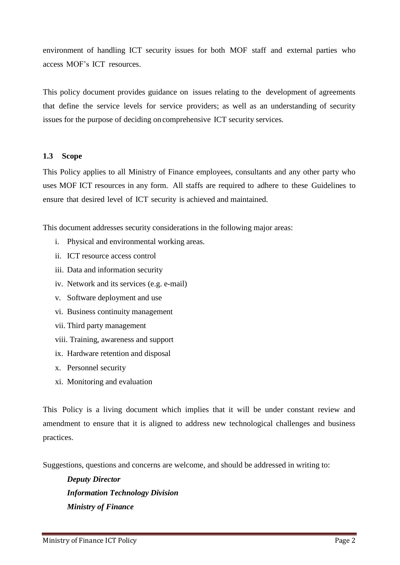environment of handling ICT security issues for both MOF staff and external parties who access MOF"s ICT resources.

This policy document provides guidance on issues relating to the development of agreements that define the service levels for service providers; as well as an understanding of security issues for the purpose of deciding on comprehensive ICT security services.

#### <span id="page-17-0"></span>**1.3 Scope**

This Policy applies to all Ministry of Finance employees, consultants and any other party who uses MOF ICT resources in any form. All staffs are required to adhere to these Guidelines to ensure that desired level of ICT security is achieved and maintained.

This document addresses security considerations in the following major areas:

- i. Physical and environmental working areas.
- ii. ICT resource access control
- iii. Data and information security
- iv. Network and its services (e.g. e-mail)
- v. Software deployment and use
- vi. Business continuity management
- vii. Third party management
- viii. Training, awareness and support
- ix. Hardware retention and disposal
- x. Personnel security
- xi. Monitoring and evaluation

This Policy is a living document which implies that it will be under constant review and amendment to ensure that it is aligned to address new technological challenges and business practices.

Suggestions, questions and concerns are welcome, and should be addressed in writing to:

*Deputy Director Information Technology Division Ministry of Finance*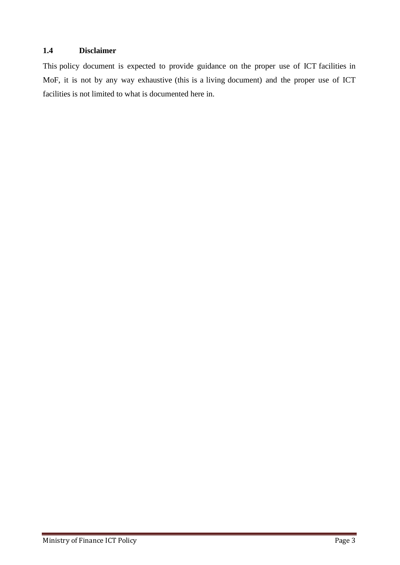# **1.4 Disclaimer**

<span id="page-18-0"></span>This policy document is expected to provide guidance on the proper use of ICT facilities in MoF, it is not by any way exhaustive (this is a living document) and the proper use of ICT facilities is not limited to what is documented here in.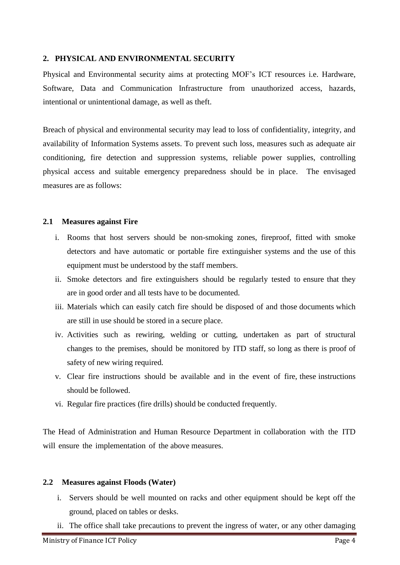# <span id="page-19-0"></span>**2. PHYSICAL AND ENVIRONMENTAL SECURITY**

Physical and Environmental security aims at protecting MOF"s ICT resources i.e. Hardware, Software, Data and Communication Infrastructure from unauthorized access, hazards, intentional or unintentional damage, as well as theft.

Breach of physical and environmental security may lead to loss of confidentiality, integrity, and availability of Information Systems assets. To prevent such loss, measures such as adequate air conditioning, fire detection and suppression systems, reliable power supplies, controlling physical access and suitable emergency preparedness should be in place. The envisaged measures are as follows:

#### <span id="page-19-1"></span>**2.1 Measures against Fire**

- i. Rooms that host servers should be non-smoking zones, fireproof, fitted with smoke detectors and have automatic or portable fire extinguisher systems and the use of this equipment must be understood by the staff members.
- ii. Smoke detectors and fire extinguishers should be regularly tested to ensure that they are in good order and all tests have to be documented.
- iii. Materials which can easily catch fire should be disposed of and those documents which are still in use should be stored in a secure place.
- iv. Activities such as rewiring, welding or cutting, undertaken as part of structural changes to the premises, should be monitored by ITD staff, so long as there is proof of safety of new wiring required.
- v. Clear fire instructions should be available and in the event of fire, these instructions should be followed.
- vi. Regular fire practices (fire drills) should be conducted frequently.

The Head of Administration and Human Resource Department in collaboration with the ITD will ensure the implementation of the above measures.

#### <span id="page-19-2"></span>**2.2 Measures against Floods (Water)**

- i. Servers should be well mounted on racks and other equipment should be kept off the ground, placed on tables or desks.
- ii. The office shall take precautions to prevent the ingress of water, or any other damaging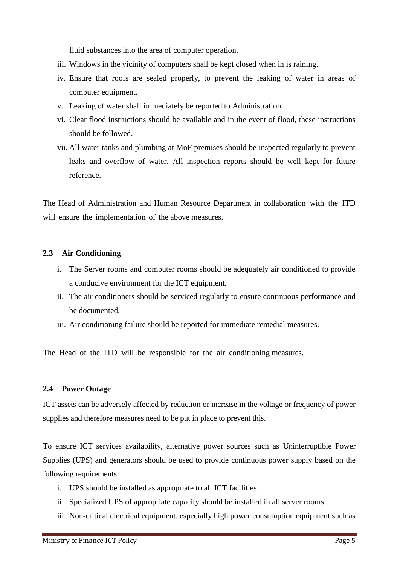fluid substances into the area of computer operation.

- iii. Windows in the vicinity of computers shall be kept closed when in is raining.
- iv. Ensure that roofs are sealed properly, to prevent the leaking of water in areas of computer equipment.
- v. Leaking of water shall immediately be reported to Administration.
- vi. Clear flood instructions should be available and in the event of flood, these instructions should be followed.
- vii. All water tanks and plumbing at MoF premises should be inspected regularly to prevent leaks and overflow of water. All inspection reports should be well kept for future reference.

The Head of Administration and Human Resource Department in collaboration with the ITD will ensure the implementation of the above measures.

# <span id="page-20-0"></span>**2.3 Air Conditioning**

- i. The Server rooms and computer rooms should be adequately air conditioned to provide a conducive environment for the ICT equipment.
- ii. The air conditioners should be serviced regularly to ensure continuous performance and be documented.
- iii. Air conditioning failure should be reported for immediate remedial measures.

The Head of the ITD will be responsible for the air conditioning measures.

# <span id="page-20-1"></span>**2.4 Power Outage**

ICT assets can be adversely affected by reduction or increase in the voltage or frequency of power supplies and therefore measures need to be put in place to prevent this.

To ensure ICT services availability, alternative power sources such as Uninterruptible Power Supplies (UPS) and generators should be used to provide continuous power supply based on the following requirements:

- i. UPS should be installed as appropriate to all ICT facilities.
- ii. Specialized UPS of appropriate capacity should be installed in all server rooms.
- iii. Non-critical electrical equipment, especially high power consumption equipment such as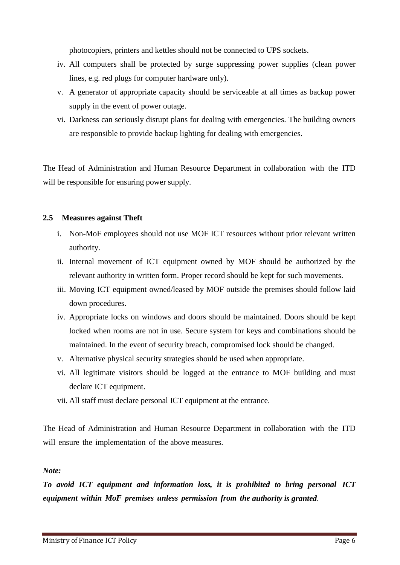photocopiers, printers and kettles should not be connected to UPS sockets.

- iv. All computers shall be protected by surge suppressing power supplies (clean power lines, e.g. red plugs for computer hardware only).
- v. A generator of appropriate capacity should be serviceable at all times as backup power supply in the event of power outage.
- vi. Darkness can seriously disrupt plans for dealing with emergencies. The building owners are responsible to provide backup lighting for dealing with emergencies.

The Head of Administration and Human Resource Department in collaboration with the ITD will be responsible for ensuring power supply.

# <span id="page-21-0"></span>**2.5 Measures against Theft**

- i. Non-MoF employees should not use MOF ICT resources without prior relevant written authority.
- ii. Internal movement of ICT equipment owned by MOF should be authorized by the relevant authority in written form. Proper record should be kept for such movements.
- iii. Moving ICT equipment owned/leased by MOF outside the premises should follow laid down procedures.
- iv. Appropriate locks on windows and doors should be maintained. Doors should be kept locked when rooms are not in use. Secure system for keys and combinations should be maintained. In the event of security breach, compromised lock should be changed.
- v. Alternative physical security strategies should be used when appropriate.
- vi. All legitimate visitors should be logged at the entrance to MOF building and must declare ICT equipment.
- vii. All staff must declare personal ICT equipment at the entrance.

The Head of Administration and Human Resource Department in collaboration with the ITD will ensure the implementation of the above measures.

# *Note:*

*To avoid ICT equipment and information loss, it is prohibited to bring personal ICT equipment within MoF premises unless permission from the authority is granted*.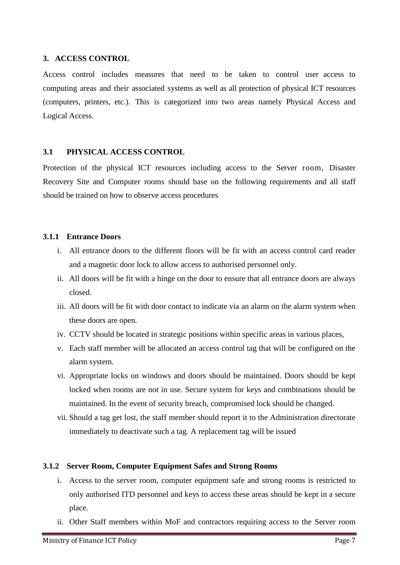#### <span id="page-22-0"></span>**3. ACCESS CONTROL**

Access control includes measures that need to be taken to control user access to computing areas and their associated systems as well as all protection of physical ICT resources (computers, printers, etc.). This is categorized into two areas namely Physical Access and Logical Access.

# <span id="page-22-1"></span>**3.1 PHYSICAL ACCESS CONTROL**

Protection of the physical ICT resources including access to the Server room, Disaster Recovery Site and Computer rooms should base on the following requirements and all staff should be trained on how to observe access procedures

#### <span id="page-22-2"></span>**3.1.1 Entrance Doors**

- i. All entrance doors to the different floors will be fit with an access control card reader and a magnetic door lock to allow access to authorised personnel only.
- ii. All doors will be fit with a hinge on the door to ensure that all entrance doors are always closed.
- iii. All doors will be fit with door contact to indicate via an alarm on the alarm system when these doors are open.
- iv. CCTV should be located in strategic positions within specific areas in various places,
- v. Each staff member will be allocated an access control tag that will be configured on the alarm system.
- vi. Appropriate locks on windows and doors should be maintained. Doors should be kept locked when rooms are not in use. Secure system for keys and combinations should be maintained. In the event of security breach, compromised lock should be changed.
- vii. Should a tag get lost, the staff member should report it to the Administration directorate immediately to deactivate such a tag. A replacement tag will be issued

# <span id="page-22-3"></span>**3.1.2 Server Room, Computer Equipment Safes and Strong Rooms**

- i. Access to the server room, computer equipment safe and strong rooms is restricted to only authorised ITD personnel and keys to access these areas should be kept in a secure place.
- ii. Other Staff members within MoF and contractors requiring access to the Server room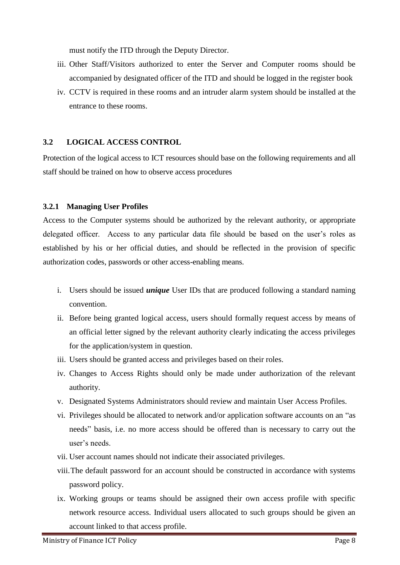must notify the ITD through the Deputy Director.

- iii. Other Staff/Visitors authorized to enter the Server and Computer rooms should be accompanied by designated officer of the ITD and should be logged in the register book
- iv. CCTV is required in these rooms and an intruder alarm system should be installed at the entrance to these rooms.

# <span id="page-23-0"></span>**3.2 LOGICAL ACCESS CONTROL**

Protection of the logical access to ICT resources should base on the following requirements and all staff should be trained on how to observe access procedures

# <span id="page-23-1"></span>**3.2.1 Managing User Profiles**

Access to the Computer systems should be authorized by the relevant authority, or appropriate delegated officer. Access to any particular data file should be based on the user's roles as established by his or her official duties, and should be reflected in the provision of specific authorization codes, passwords or other access-enabling means.

- i. Users should be issued *unique* User IDs that are produced following a standard naming convention.
- ii. Before being granted logical access, users should formally request access by means of an official letter signed by the relevant authority clearly indicating the access privileges for the application/system in question.
- iii. Users should be granted access and privileges based on their roles.
- iv. Changes to Access Rights should only be made under authorization of the relevant authority.
- v. Designated Systems Administrators should review and maintain User Access Profiles.
- vi. Privileges should be allocated to network and/or application software accounts on an "as needs" basis, i.e. no more access should be offered than is necessary to carry out the user"s needs.
- vii. User account names should not indicate their associated privileges.
- viii.The default password for an account should be constructed in accordance with systems password policy.
- ix. Working groups or teams should be assigned their own access profile with specific network resource access. Individual users allocated to such groups should be given an account linked to that access profile.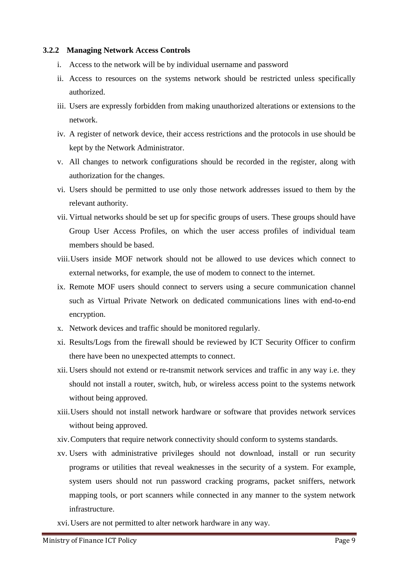#### <span id="page-24-0"></span>**3.2.2 Managing Network Access Controls**

- i. Access to the network will be by individual username and password
- ii. Access to resources on the systems network should be restricted unless specifically authorized.
- iii. Users are expressly forbidden from making unauthorized alterations or extensions to the network.
- iv. A register of network device, their access restrictions and the protocols in use should be kept by the Network Administrator.
- v. All changes to network configurations should be recorded in the register, along with authorization for the changes.
- vi. Users should be permitted to use only those network addresses issued to them by the relevant authority.
- vii. Virtual networks should be set up for specific groups of users. These groups should have Group User Access Profiles, on which the user access profiles of individual team members should be based.
- viii.Users inside MOF network should not be allowed to use devices which connect to external networks, for example, the use of modem to connect to the internet.
- ix. Remote MOF users should connect to servers using a secure communication channel such as Virtual Private Network on dedicated communications lines with end-to-end encryption.
- x. Network devices and traffic should be monitored regularly.
- xi. Results/Logs from the firewall should be reviewed by ICT Security Officer to confirm there have been no unexpected attempts to connect.
- xii. Users should not extend or re-transmit network services and traffic in any way i.e. they should not install a router, switch, hub, or wireless access point to the systems network without being approved.
- xiii.Users should not install network hardware or software that provides network services without being approved.
- xiv.Computers that require network connectivity should conform to systems standards.
- xv. Users with administrative privileges should not download, install or run security programs or utilities that reveal weaknesses in the security of a system. For example, system users should not run password cracking programs, packet sniffers, network mapping tools, or port scanners while connected in any manner to the system network infrastructure.
- xvi.Users are not permitted to alter network hardware in any way.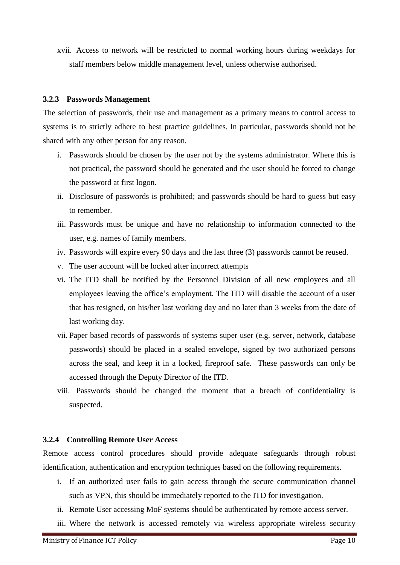xvii. Access to network will be restricted to normal working hours during weekdays for staff members below middle management level, unless otherwise authorised.

#### <span id="page-25-0"></span>**3.2.3 Passwords Management**

The selection of passwords, their use and management as a primary means to control access to systems is to strictly adhere to best practice guidelines. In particular, passwords should not be shared with any other person for any reason.

- i. Passwords should be chosen by the user not by the systems administrator. Where this is not practical, the password should be generated and the user should be forced to change the password at first logon.
- ii. Disclosure of passwords is prohibited; and passwords should be hard to guess but easy to remember.
- iii. Passwords must be unique and have no relationship to information connected to the user, e.g. names of family members.
- iv. Passwords will expire every 90 days and the last three (3) passwords cannot be reused.
- v. The user account will be locked after incorrect attempts
- vi. The ITD shall be notified by the Personnel Division of all new employees and all employees leaving the office"s employment. The ITD will disable the account of a user that has resigned, on his/her last working day and no later than 3 weeks from the date of last working day.
- vii. Paper based records of passwords of systems super user (e.g. server, network, database passwords) should be placed in a sealed envelope, signed by two authorized persons across the seal, and keep it in a locked, fireproof safe. These passwords can only be accessed through the Deputy Director of the ITD.
- viii. Passwords should be changed the moment that a breach of confidentiality is suspected.

#### <span id="page-25-1"></span>**3.2.4 Controlling Remote User Access**

Remote access control procedures should provide adequate safeguards through robust identification, authentication and encryption techniques based on the following requirements.

- i. If an authorized user fails to gain access through the secure communication channel such as VPN, this should be immediately reported to the ITD for investigation.
- ii. Remote User accessing MoF systems should be authenticated by remote access server.
- iii. Where the network is accessed remotely via wireless appropriate wireless security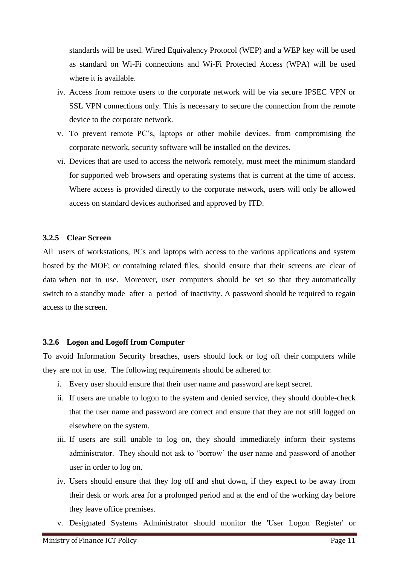standards will be used. Wired Equivalency Protocol (WEP) and a WEP key will be used as standard on Wi-Fi connections and Wi-Fi Protected Access (WPA) will be used where it is available.

- iv. Access from remote users to the corporate network will be via secure IPSEC VPN or SSL VPN connections only. This is necessary to secure the connection from the remote device to the corporate network.
- v. To prevent remote PC"s, laptops or other mobile devices. from compromising the corporate network, security software will be installed on the devices.
- vi. Devices that are used to access the network remotely, must meet the minimum standard for supported web browsers and operating systems that is current at the time of access. Where access is provided directly to the corporate network, users will only be allowed access on standard devices authorised and approved by ITD.

#### <span id="page-26-0"></span>**3.2.5 Clear Screen**

All users of workstations, PCs and laptops with access to the various applications and system hosted by the MOF; or containing related files, should ensure that their screens are clear of data when not in use. Moreover, user computers should be set so that they automatically switch to a standby mode after a period of inactivity. A password should be required to regain access to the screen.

# <span id="page-26-1"></span>**3.2.6 Logon and Logoff from Computer**

To avoid Information Security breaches, users should lock or log off their computers while they are not in use. The following requirements should be adhered to:

- i. Every user should ensure that their user name and password are kept secret.
- ii. If users are unable to logon to the system and denied service, they should double-check that the user name and password are correct and ensure that they are not still logged on elsewhere on the system.
- iii. If users are still unable to log on, they should immediately inform their systems administrator. They should not ask to "borrow" the user name and password of another user in order to log on.
- iv. Users should ensure that they log off and shut down, if they expect to be away from their desk or work area for a prolonged period and at the end of the working day before they leave office premises.
- v. Designated Systems Administrator should monitor the 'User Logon Register' or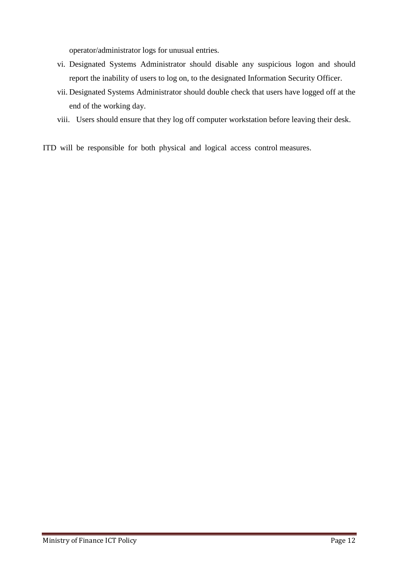operator/administrator logs for unusual entries.

- vi. Designated Systems Administrator should disable any suspicious logon and should report the inability of users to log on, to the designated Information Security Officer.
- vii. Designated Systems Administrator should double check that users have logged off at the end of the working day.
- viii. Users should ensure that they log off computer workstation before leaving their desk.
- ITD will be responsible for both physical and logical access control measures.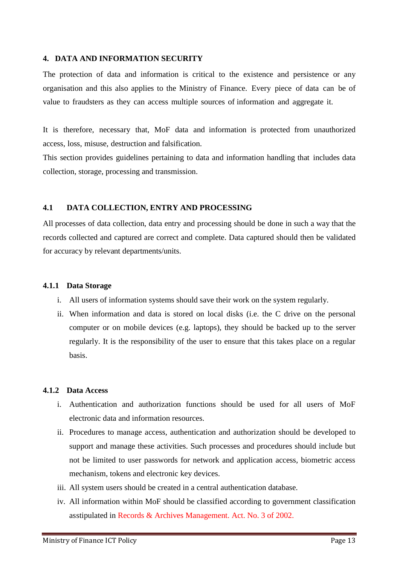#### <span id="page-28-0"></span>**4. DATA AND INFORMATION SECURITY**

The protection of data and information is critical to the existence and persistence or any organisation and this also applies to the Ministry of Finance. Every piece of data can be of value to fraudsters as they can access multiple sources of information and aggregate it.

It is therefore, necessary that, MoF data and information is protected from unauthorized access, loss, misuse, destruction and falsification.

This section provides guidelines pertaining to data and information handling that includes data collection, storage, processing and transmission.

# <span id="page-28-1"></span>**4.1 DATA COLLECTION, ENTRY AND PROCESSING**

All processes of data collection, data entry and processing should be done in such a way that the records collected and captured are correct and complete. Data captured should then be validated for accuracy by relevant departments/units.

#### <span id="page-28-2"></span>**4.1.1 Data Storage**

- i. All users of information systems should save their work on the system regularly.
- ii. When information and data is stored on local disks (i.e. the C drive on the personal computer or on mobile devices (e.g. laptops), they should be backed up to the server regularly. It is the responsibility of the user to ensure that this takes place on a regular basis.

# <span id="page-28-3"></span>**4.1.2 Data Access**

- i. Authentication and authorization functions should be used for all users of MoF electronic data and information resources.
- ii. Procedures to manage access, authentication and authorization should be developed to support and manage these activities. Such processes and procedures should include but not be limited to user passwords for network and application access, biometric access mechanism, tokens and electronic key devices.
- iii. All system users should be created in a central authentication database.
- iv. All information within MoF should be classified according to government classification asstipulated in Records & Archives Management. Act. No. 3 of 2002.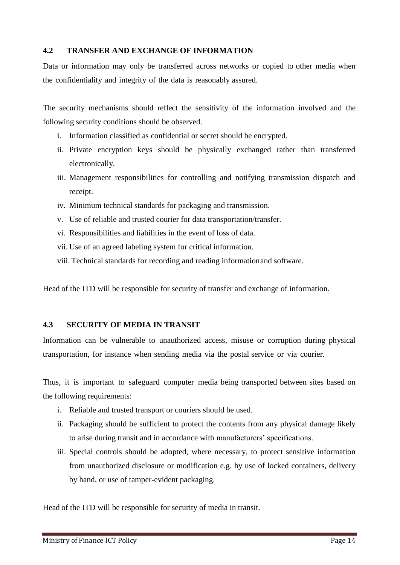# <span id="page-29-0"></span>**4.2 TRANSFER AND EXCHANGE OF INFORMATION**

Data or information may only be transferred across networks or copied to other media when the confidentiality and integrity of the data is reasonably assured.

The security mechanisms should reflect the sensitivity of the information involved and the following security conditions should be observed.

- i. Information classified as confidential or secret should be encrypted.
- ii. Private encryption keys should be physically exchanged rather than transferred electronically.
- iii. Management responsibilities for controlling and notifying transmission dispatch and receipt.
- iv. Minimum technical standards for packaging and transmission.
- v. Use of reliable and trusted courier for data transportation/transfer.
- vi. Responsibilities and liabilities in the event of loss of data.
- vii. Use of an agreed labeling system for critical information.
- viii. Technical standards for recording and reading informationand software.

Head of the ITD will be responsible for security of transfer and exchange of information.

# <span id="page-29-1"></span>**4.3 SECURITY OF MEDIA IN TRANSIT**

Information can be vulnerable to unauthorized access, misuse or corruption during physical transportation, for instance when sending media via the postal service or via courier.

Thus, it is important to safeguard computer media being transported between sites based on the following requirements:

- i. Reliable and trusted transport or couriers should be used.
- ii. Packaging should be sufficient to protect the contents from any physical damage likely to arise during transit and in accordance with manufacturers" specifications.
- iii. Special controls should be adopted, where necessary, to protect sensitive information from unauthorized disclosure or modification e.g. by use of locked containers, delivery by hand, or use of tamper-evident packaging.

Head of the ITD will be responsible for security of media in transit.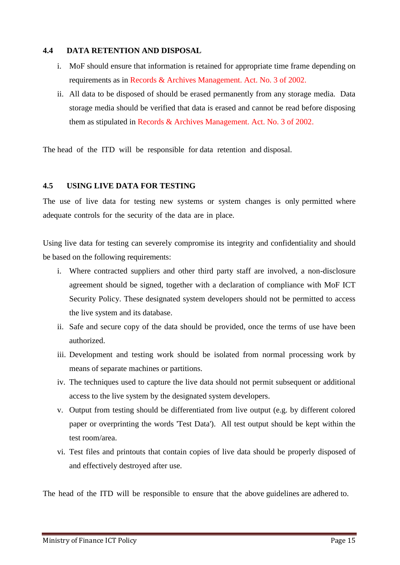#### <span id="page-30-0"></span>**4.4 DATA RETENTION AND DISPOSAL**

- i. MoF should ensure that information is retained for appropriate time frame depending on requirements as in Records & Archives Management. Act. No. 3 of 2002.
- ii. All data to be disposed of should be erased permanently from any storage media. Data storage media should be verified that data is erased and cannot be read before disposing them as stipulated in Records & Archives Management. Act. No. 3 of 2002.

The head of the ITD will be responsible for data retention and disposal.

# <span id="page-30-1"></span>**4.5 USING LIVE DATA FOR TESTING**

The use of live data for testing new systems or system changes is only permitted where adequate controls for the security of the data are in place.

Using live data for testing can severely compromise its integrity and confidentiality and should be based on the following requirements:

- i. Where contracted suppliers and other third party staff are involved, a non-disclosure agreement should be signed, together with a declaration of compliance with MoF ICT Security Policy. These designated system developers should not be permitted to access the live system and its database.
- ii. Safe and secure copy of the data should be provided, once the terms of use have been authorized.
- iii. Development and testing work should be isolated from normal processing work by means of separate machines or partitions.
- iv. The techniques used to capture the live data should not permit subsequent or additional access to the live system by the designated system developers.
- v. Output from testing should be differentiated from live output (e.g. by different colored paper or overprinting the words 'Test Data'). All test output should be kept within the test room/area.
- vi. Test files and printouts that contain copies of live data should be properly disposed of and effectively destroyed after use.

The head of the ITD will be responsible to ensure that the above guidelines are adhered to.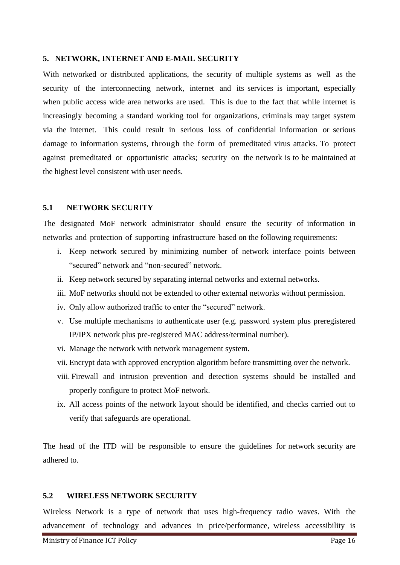#### <span id="page-31-0"></span>**5. NETWORK, INTERNET AND E-MAIL SECURITY**

With networked or distributed applications, the security of multiple systems as well as the security of the interconnecting network, internet and its services is important, especially when public access wide area networks are used. This is due to the fact that while internet is increasingly becoming a standard working tool for organizations, criminals may target system via the internet. This could result in serious loss of confidential information or serious damage to information systems, through the form of premeditated virus attacks. To protect against premeditated or opportunistic attacks; security on the network is to be maintained at the highest level consistent with user needs.

#### <span id="page-31-1"></span>**5.1 NETWORK SECURITY**

The designated MoF network administrator should ensure the security of information in networks and protection of supporting infrastructure based on the following requirements:

- i. Keep network secured by minimizing number of network interface points between "secured" network and "non-secured" network.
- ii. Keep network secured by separating internal networks and external networks.
- iii. MoF networks should not be extended to other external networks without permission.
- iv. Only allow authorized traffic to enter the "secured" network.
- v. Use multiple mechanisms to authenticate user (e.g. password system plus preregistered IP/IPX network plus pre-registered MAC address/terminal number).
- vi. Manage the network with network management system.
- vii. Encrypt data with approved encryption algorithm before transmitting over the network.
- viii. Firewall and intrusion prevention and detection systems should be installed and properly configure to protect MoF network.
- ix. All access points of the network layout should be identified, and checks carried out to verify that safeguards are operational.

The head of the ITD will be responsible to ensure the guidelines for network security are adhered to.

### <span id="page-31-2"></span>**5.2 WIRELESS NETWORK SECURITY**

Wireless Network is a type of network that uses high-frequency radio waves. With the advancement of technology and advances in price/performance, wireless accessibility is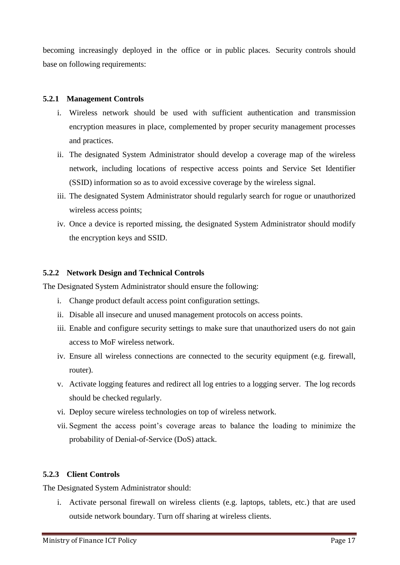becoming increasingly deployed in the office or in public places. Security controls should base on following requirements:

# <span id="page-32-0"></span>**5.2.1 Management Controls**

- i. Wireless network should be used with sufficient authentication and transmission encryption measures in place, complemented by proper security management processes and practices.
- ii. The designated System Administrator should develop a coverage map of the wireless network, including locations of respective access points and Service Set Identifier (SSID) information so as to avoid excessive coverage by the wireless signal.
- iii. The designated System Administrator should regularly search for rogue or unauthorized wireless access points;
- iv. Once a device is reported missing, the designated System Administrator should modify the encryption keys and SSID.

#### <span id="page-32-1"></span>**5.2.2 Network Design and Technical Controls**

The Designated System Administrator should ensure the following:

- i. Change product default access point configuration settings.
- ii. Disable all insecure and unused management protocols on access points.
- iii. Enable and configure security settings to make sure that unauthorized users do not gain access to MoF wireless network.
- iv. Ensure all wireless connections are connected to the security equipment (e.g. firewall, router).
- v. Activate logging features and redirect all log entries to a logging server. The log records should be checked regularly.
- vi. Deploy secure wireless technologies on top of wireless network.
- vii. Segment the access point"s coverage areas to balance the loading to minimize the probability of Denial-of-Service (DoS) attack.

# <span id="page-32-2"></span>**5.2.3 Client Controls**

The Designated System Administrator should:

i. Activate personal firewall on wireless clients (e.g. laptops, tablets, etc.) that are used outside network boundary. Turn off sharing at wireless clients.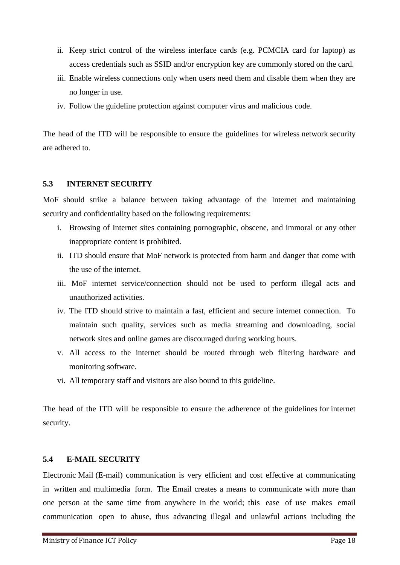- ii. Keep strict control of the wireless interface cards (e.g. PCMCIA card for laptop) as access credentials such as SSID and/or encryption key are commonly stored on the card.
- iii. Enable wireless connections only when users need them and disable them when they are no longer in use.
- iv. Follow the guideline protection against computer virus and malicious code.

The head of the ITD will be responsible to ensure the guidelines for wireless network security are adhered to.

# <span id="page-33-0"></span>**5.3 INTERNET SECURITY**

MoF should strike a balance between taking advantage of the Internet and maintaining security and confidentiality based on the following requirements:

- i. Browsing of Internet sites containing pornographic, obscene, and immoral or any other inappropriate content is prohibited.
- ii. ITD should ensure that MoF network is protected from harm and danger that come with the use of the internet.
- iii. MoF internet service/connection should not be used to perform illegal acts and unauthorized activities.
- iv. The ITD should strive to maintain a fast, efficient and secure internet connection. To maintain such quality, services such as media streaming and downloading, social network sites and online games are discouraged during working hours.
- v. All access to the internet should be routed through web filtering hardware and monitoring software.
- vi. All temporary staff and visitors are also bound to this guideline.

The head of the ITD will be responsible to ensure the adherence of the guidelines for internet security.

# <span id="page-33-1"></span>**5.4 E-MAIL SECURITY**

Electronic Mail (E-mail) communication is very efficient and cost effective at communicating in written and multimedia form. The Email creates a means to communicate with more than one person at the same time from anywhere in the world; this ease of use makes email communication open to abuse, thus advancing illegal and unlawful actions including the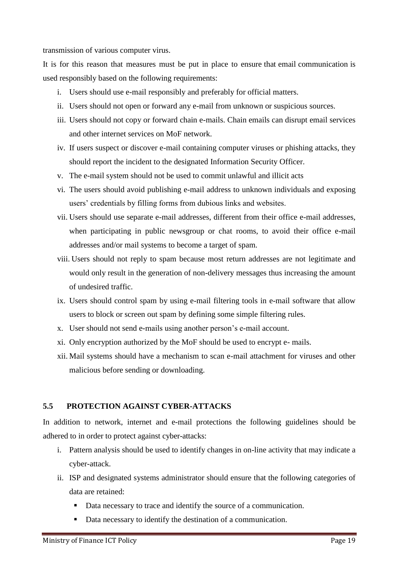transmission of various computer virus.

It is for this reason that measures must be put in place to ensure that email communication is used responsibly based on the following requirements:

- i. Users should use e-mail responsibly and preferably for official matters.
- ii. Users should not open or forward any e-mail from unknown or suspicious sources.
- iii. Users should not copy or forward chain e-mails. Chain emails can disrupt email services and other internet services on MoF network.
- iv. If users suspect or discover e-mail containing computer viruses or phishing attacks, they should report the incident to the designated Information Security Officer.
- v. The e-mail system should not be used to commit unlawful and illicit acts
- vi. The users should avoid publishing e-mail address to unknown individuals and exposing users" credentials by filling forms from dubious links and websites.
- vii. Users should use separate e-mail addresses, different from their office e-mail addresses, when participating in public newsgroup or chat rooms, to avoid their office e-mail addresses and/or mail systems to become a target of spam.
- viii. Users should not reply to spam because most return addresses are not legitimate and would only result in the generation of non-delivery messages thus increasing the amount of undesired traffic.
- ix. Users should control spam by using e-mail filtering tools in e-mail software that allow users to block or screen out spam by defining some simple filtering rules.
- x. User should not send e-mails using another person"s e-mail account.
- xi. Only encryption authorized by the MoF should be used to encrypt e- mails.
- xii. Mail systems should have a mechanism to scan e-mail attachment for viruses and other malicious before sending or downloading.

# <span id="page-34-0"></span>**5.5 PROTECTION AGAINST CYBER-ATTACKS**

In addition to network, internet and e-mail protections the following guidelines should be adhered to in order to protect against cyber-attacks:

- i. Pattern analysis should be used to identify changes in on-line activity that may indicate a cyber-attack.
- ii. ISP and designated systems administrator should ensure that the following categories of data are retained:
	- Data necessary to trace and identify the source of a communication.
	- Data necessary to identify the destination of a communication.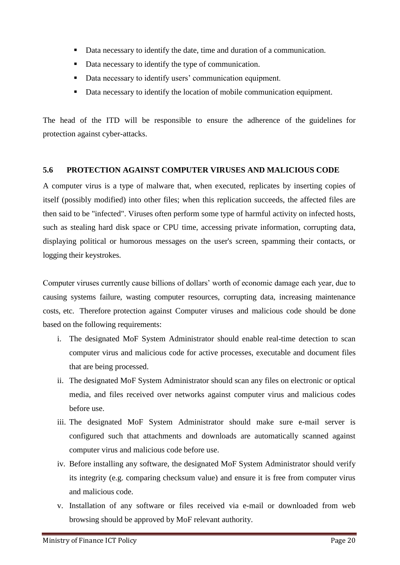- Data necessary to identify the date, time and duration of a communication.
- Data necessary to identify the type of communication.
- Data necessary to identify users' communication equipment.
- Data necessary to identify the location of mobile communication equipment.

The head of the ITD will be responsible to ensure the adherence of the guidelines for protection against cyber-attacks.

# <span id="page-35-0"></span>**5.6 PROTECTION AGAINST COMPUTER VIRUSES AND MALICIOUS CODE**

A computer virus is a type of [malware](http://en.wikipedia.org/wiki/Malware) that, when executed, [replicates](http://en.wikipedia.org/wiki/Self-replicating_program) by inserting copies of itself (possibly modified) into other [files;](http://en.wikipedia.org/wiki/Computer_file) when this replication succeeds, the affected files are then said to be "infected". Viruses often perform some type of harmful activity on infected hosts, such as stealing [hard disk](http://en.wikipedia.org/wiki/Hard_disk) space or [CPU](http://en.wikipedia.org/wiki/CPU) time, accessing private information, corrupting data, displaying political or humorous messages on the user's screen, spamming their contacts, or [logging their keystrokes.](http://en.wikipedia.org/wiki/Keystroke_logger)

Computer viruses currently cause billions of dollars" worth of economic damage each year, due to causing systems failure, wasting computer resources, corrupting data, increasing maintenance costs, etc. Therefore protection against Computer viruses and malicious code should be done based on the following requirements:

- i. The designated MoF System Administrator should enable real-time detection to scan computer virus and malicious code for active processes, executable and document files that are being processed.
- ii. The designated MoF System Administrator should scan any files on electronic or optical media, and files received over networks against computer virus and malicious codes before use.
- iii. The designated MoF System Administrator should make sure e-mail server is configured such that attachments and downloads are automatically scanned against computer virus and malicious code before use.
- iv. Before installing any software, the designated MoF System Administrator should verify its integrity (e.g. comparing checksum value) and ensure it is free from computer virus and malicious code.
- v. Installation of any software or files received via e-mail or downloaded from web browsing should be approved by MoF relevant authority.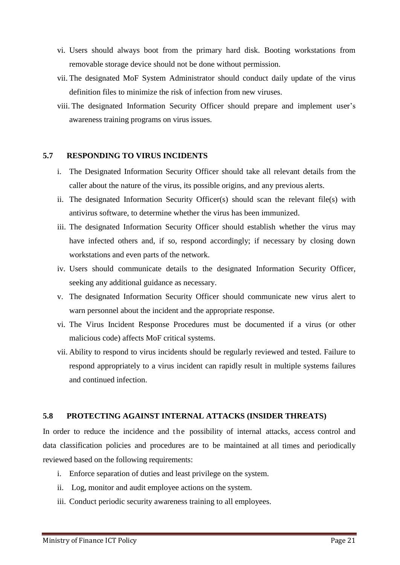- vi. Users should always boot from the primary hard disk. Booting workstations from removable storage device should not be done without permission.
- vii. The designated MoF System Administrator should conduct daily update of the virus definition files to minimize the risk of infection from new viruses.
- viii. The designated Information Security Officer should prepare and implement user"s awareness training programs on virus issues.

#### <span id="page-36-0"></span>**5.7 RESPONDING TO VIRUS INCIDENTS**

- i. The Designated Information Security Officer should take all relevant details from the caller about the nature of the virus, its possible origins, and any previous alerts.
- ii. The designated Information Security Officer(s) should scan the relevant file(s) with antivirus software, to determine whether the virus has been immunized.
- iii. The designated Information Security Officer should establish whether the virus may have infected others and, if so, respond accordingly; if necessary by closing down workstations and even parts of the network.
- iv. Users should communicate details to the designated Information Security Officer, seeking any additional guidance as necessary.
- v. The designated Information Security Officer should communicate new virus alert to warn personnel about the incident and the appropriate response.
- vi. The Virus Incident Response Procedures must be documented if a virus (or other malicious code) affects MoF critical systems.
- vii. Ability to respond to virus incidents should be regularly reviewed and tested. Failure to respond appropriately to a virus incident can rapidly result in multiple systems failures and continued infection.

# <span id="page-36-1"></span>**5.8 PROTECTING AGAINST INTERNAL ATTACKS (INSIDER THREATS)**

In order to reduce the incidence and the possibility of internal attacks, access control and data classification policies and procedures are to be maintained at all times and periodically reviewed based on the following requirements:

- i. Enforce separation of duties and least privilege on the system.
- ii. Log, monitor and audit employee actions on the system.
- iii. Conduct periodic security awareness training to all employees.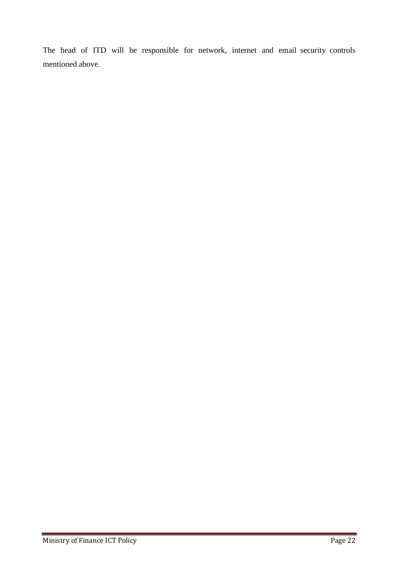The head of ITD will be responsible for network, internet and email security controls mentioned above.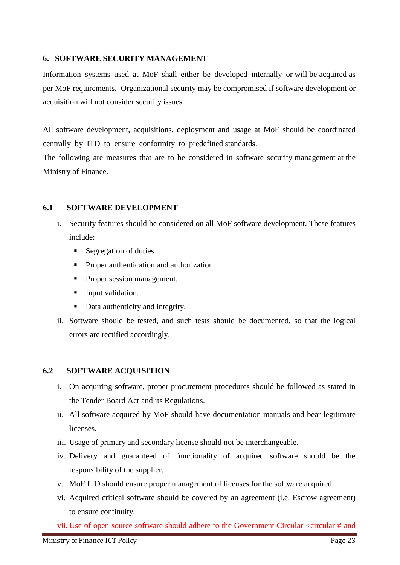#### <span id="page-38-0"></span>**6. SOFTWARE SECURITY MANAGEMENT**

Information systems used at MoF shall either be developed internally or will be acquired as per MoF requirements. Organizational security may be compromised if software development or acquisition will not consider security issues.

All software development, acquisitions, deployment and usage at MoF should be coordinated centrally by ITD to ensure conformity to predefined standards.

The following are measures that are to be considered in software security management at the Ministry of Finance.

#### <span id="page-38-1"></span>**6.1 SOFTWARE DEVELOPMENT**

- i. Security features should be considered on all MoF software development. These features include:
	- Segregation of duties.
	- Proper authentication and authorization.
	- Proper session management.
	- **Input validation.**
	- Data authenticity and integrity.
- ii. Software should be tested, and such tests should be documented, so that the logical errors are rectified accordingly.

# <span id="page-38-2"></span>**6.2 SOFTWARE ACQUISITION**

- i. On acquiring software, proper procurement procedures should be followed as stated in the Tender Board Act and its Regulations.
- ii. All software acquired by MoF should have documentation manuals and bear legitimate licenses.
- iii. Usage of primary and secondary license should not be interchangeable.
- iv. Delivery and guaranteed of functionality of acquired software should be the responsibility of the supplier.
- v. MoF ITD should ensure proper management of licenses for the software acquired.
- vi. Acquired critical software should be covered by an agreement (i.e. Escrow agreement) to ensure continuity.

vii. Use of open source software should adhere to the Government Circular <circular # and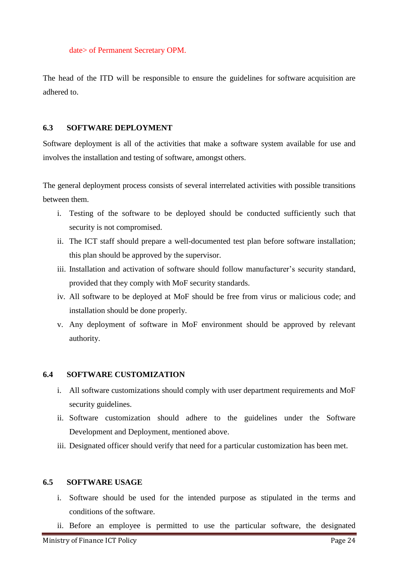date> of Permanent Secretary OPM.

The head of the ITD will be responsible to ensure the guidelines for software acquisition are adhered to.

#### <span id="page-39-0"></span>**6.3 SOFTWARE DEPLOYMENT**

Software deployment is all of the activities that make a [software system](http://en.wikipedia.org/wiki/Software_system) available for use and involves the installation and testing of software, amongst others.

The general deployment process consists of several interrelated activities with possible transitions between them.

- i. Testing of the software to be deployed should be conducted sufficiently such that security is not compromised.
- ii. The ICT staff should prepare a well-documented test plan before software installation; this plan should be approved by the supervisor.
- iii. Installation and activation of software should follow manufacturer"s security standard, provided that they comply with MoF security standards.
- iv. All software to be deployed at MoF should be free from virus or malicious code; and installation should be done properly.
- v. Any deployment of software in MoF environment should be approved by relevant authority.

#### <span id="page-39-1"></span>**6.4 SOFTWARE CUSTOMIZATION**

- i. All software customizations should comply with user department requirements and MoF security guidelines.
- ii. Software customization should adhere to the guidelines under the Software Development and Deployment, mentioned above.
- iii. Designated officer should verify that need for a particular customization has been met.

#### <span id="page-39-2"></span>**6.5 SOFTWARE USAGE**

- i. Software should be used for the intended purpose as stipulated in the terms and conditions of the software.
- ii. Before an employee is permitted to use the particular software, the designated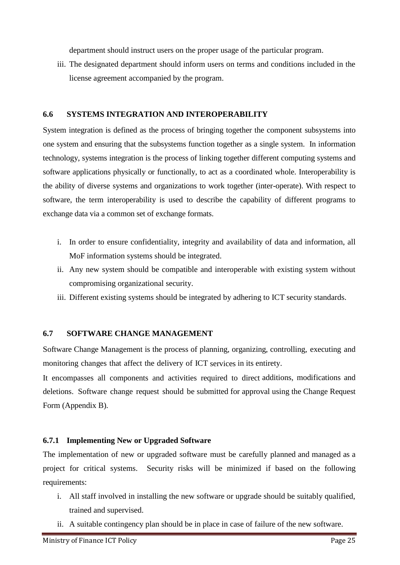department should instruct users on the proper usage of the particular program.

iii. The designated department should inform users on terms and conditions included in the license agreement accompanied by the program.

## <span id="page-40-0"></span>**6.6 SYSTEMS INTEGRATION AND INTEROPERABILITY**

System integration is defined as the process of bringing together the component [subsystems](https://en.wikipedia.org/wiki/Subsystem) into one system and ensuring that the subsystems function together as a single system. In [information](https://en.wikipedia.org/wiki/Information_technology)  [technology,](https://en.wikipedia.org/wiki/Information_technology) systems integration is the process of linking together different computing systems and software applications physically or functionally, to act as a coordinated whole. Interoperability is the ability of diverse systems and organizations to work together (inter-operate). With respect to [software,](https://en.wikipedia.org/wiki/Software) the term interoperability is used to describe the capability of different programs to exchange data via a common set of exchange formats.

- i. In order to ensure confidentiality, integrity and availability of data and information, all MoF information systems should be integrated.
- ii. Any new system should be compatible and interoperable with existing system without compromising organizational security.
- iii. Different existing systems should be integrated by adhering to ICT security standards.

# <span id="page-40-1"></span>**6.7 SOFTWARE CHANGE MANAGEMENT**

Software Change Management is the process of planning, organizing, controlling, executing and monitoring changes that affect the delivery of ICT services in its entirety.

It encompasses all components and activities required to direct additions, modifications and deletions. Software change request should be submitted for approval using the Change Request Form (Appendix B).

# <span id="page-40-2"></span>**6.7.1 Implementing New or Upgraded Software**

The implementation of new or upgraded software must be carefully planned and managed as a project for critical systems. Security risks will be minimized if based on the following requirements:

- i. All staff involved in installing the new software or upgrade should be suitably qualified, trained and supervised.
- ii. A suitable contingency plan should be in place in case of failure of the new software.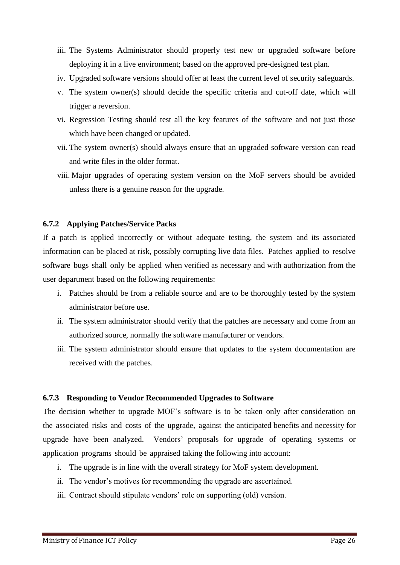- iii. The Systems Administrator should properly test new or upgraded software before deploying it in a live environment; based on the approved pre-designed test plan.
- iv. Upgraded software versions should offer at least the current level of security safeguards.
- v. The system owner(s) should decide the specific criteria and cut-off date, which will trigger a reversion.
- vi. Regression Testing should test all the key features of the software and not just those which have been changed or updated.
- vii. The system owner(s) should always ensure that an upgraded software version can read and write files in the older format.
- viii. Major upgrades of operating system version on the MoF servers should be avoided unless there is a genuine reason for the upgrade.

#### <span id="page-41-0"></span>**6.7.2 Applying Patches/Service Packs**

If a patch is applied incorrectly or without adequate testing, the system and its associated information can be placed at risk, possibly corrupting live data files. Patches applied to resolve software bugs shall only be applied when verified as necessary and with authorization from the user department based on the following requirements:

- i. Patches should be from a reliable source and are to be thoroughly tested by the system administrator before use.
- ii. The system administrator should verify that the patches are necessary and come from an authorized source, normally the software manufacturer or vendors.
- iii. The system administrator should ensure that updates to the system documentation are received with the patches.

#### <span id="page-41-1"></span>**6.7.3 Responding to Vendor Recommended Upgrades to Software**

The decision whether to upgrade MOF"s software is to be taken only after consideration on the associated risks and costs of the upgrade, against the anticipated benefits and necessity for upgrade have been analyzed. Vendors" proposals for upgrade of operating systems or application programs should be appraised taking the following into account:

- i. The upgrade is in line with the overall strategy for MoF system development.
- ii. The vendor"s motives for recommending the upgrade are ascertained.
- iii. Contract should stipulate vendors' role on supporting (old) version.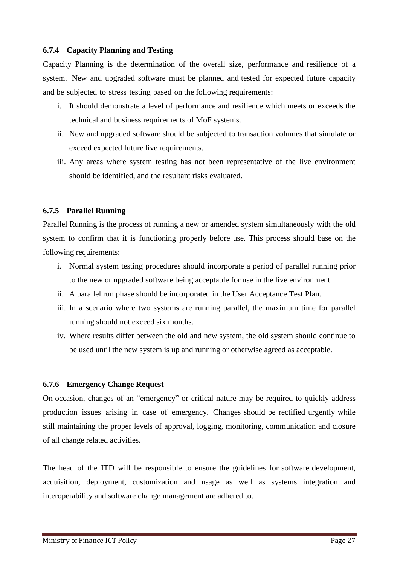# <span id="page-42-0"></span>**6.7.4 Capacity Planning and Testing**

Capacity Planning is the determination of the overall size, performance and resilience of a system. New and upgraded software must be planned and tested for expected future capacity and be subjected to stress testing based on the following requirements:

- i. It should demonstrate a level of performance and resilience which meets or exceeds the technical and business requirements of MoF systems.
- ii. New and upgraded software should be subjected to transaction volumes that simulate or exceed expected future live requirements.
- iii. Any areas where system testing has not been representative of the live environment should be identified, and the resultant risks evaluated.

# <span id="page-42-1"></span>**6.7.5 Parallel Running**

Parallel Running is the process of running a new or amended system simultaneously with the old system to confirm that it is functioning properly before use. This process should base on the following requirements:

- i. Normal system testing procedures should incorporate a period of parallel running prior to the new or upgraded software being acceptable for use in the live environment.
- ii. A parallel run phase should be incorporated in the User Acceptance Test Plan.
- iii. In a scenario where two systems are running parallel, the maximum time for parallel running should not exceed six months.
- iv. Where results differ between the old and new system, the old system should continue to be used until the new system is up and running or otherwise agreed as acceptable.

# <span id="page-42-2"></span>**6.7.6 Emergency Change Request**

On occasion, changes of an "emergency" or critical nature may be required to quickly address production issues arising in case of emergency. Changes should be rectified urgently while still maintaining the proper levels of approval, logging, monitoring, communication and closure of all change related activities.

The head of the ITD will be responsible to ensure the guidelines for software development, acquisition, deployment, customization and usage as well as systems integration and interoperability and software change management are adhered to.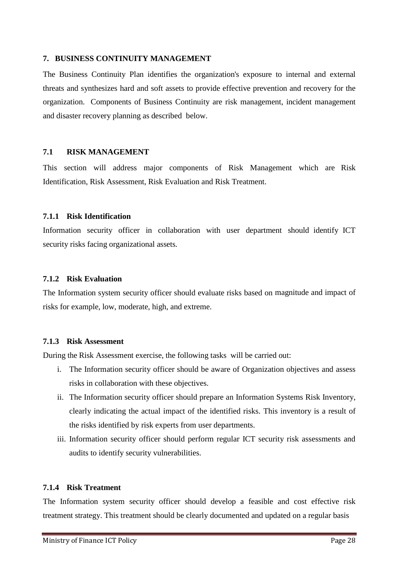#### <span id="page-43-0"></span>**7. BUSINESS CONTINUITY MANAGEMENT**

The Business Continuity Plan identifies the organization's exposure to internal and external threats and synthesizes hard and soft assets to provide effective prevention and recovery for the organization. Components of Business Continuity are risk management, incident management and disaster recovery planning as described below.

# <span id="page-43-1"></span>**7.1 RISK MANAGEMENT**

This section will address major components of Risk Management which are Risk Identification, Risk Assessment, Risk Evaluation and Risk Treatment.

#### <span id="page-43-2"></span>**7.1.1 Risk Identification**

Information security officer in collaboration with user department should identify ICT security risks facing organizational assets.

#### <span id="page-43-3"></span>**7.1.2 Risk Evaluation**

The Information system security officer should evaluate risks based on magnitude and impact of risks for example, low, moderate, high, and extreme.

#### <span id="page-43-4"></span>**7.1.3 Risk Assessment**

During the Risk Assessment exercise, the following tasks will be carried out:

- i. The Information security officer should be aware of Organization objectives and assess risks in collaboration with these objectives.
- ii. The Information security officer should prepare an Information Systems Risk Inventory, clearly indicating the actual impact of the identified risks. This inventory is a result of the risks identified by risk experts from user departments.
- iii. Information security officer should perform regular ICT security risk assessments and audits to identify security vulnerabilities.

# <span id="page-43-5"></span>**7.1.4 Risk Treatment**

The Information system security officer should develop a feasible and cost effective risk treatment strategy. This treatment should be clearly documented and updated on a regular basis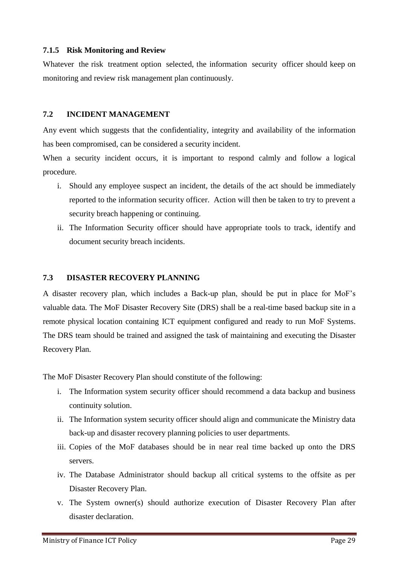## <span id="page-44-0"></span>**7.1.5 Risk Monitoring and Review**

Whatever the risk treatment option selected, the information security officer should keep on monitoring and review risk management plan continuously.

#### <span id="page-44-1"></span>**7.2 INCIDENT MANAGEMENT**

Any event which suggests that the confidentiality, integrity and availability of the information has been compromised, can be considered a security incident.

When a security incident occurs, it is important to respond calmly and follow a logical procedure.

- i. Should any employee suspect an incident, the details of the act should be immediately reported to the information security officer. Action will then be taken to try to prevent a security breach happening or continuing.
- ii. The Information Security officer should have appropriate tools to track, identify and document security breach incidents.

## <span id="page-44-2"></span>**7.3 DISASTER RECOVERY PLANNING**

A disaster recovery plan, which includes a Back-up plan, should be put in place for MoF"s valuable data. The MoF Disaster Recovery Site (DRS) shall be a real-time based backup site in a remote physical location containing ICT equipment configured and ready to run MoF Systems. The DRS team should be trained and assigned the task of maintaining and executing the Disaster Recovery Plan.

The MoF Disaster Recovery Plan should constitute of the following:

- i. The Information system security officer should recommend a data backup and business continuity solution.
- ii. The Information system security officer should align and communicate the Ministry data back-up and disaster recovery planning policies to user departments.
- iii. Copies of the MoF databases should be in near real time backed up onto the DRS servers.
- iv. The Database Administrator should backup all critical systems to the offsite as per Disaster Recovery Plan.
- v. The System owner(s) should authorize execution of Disaster Recovery Plan after disaster declaration.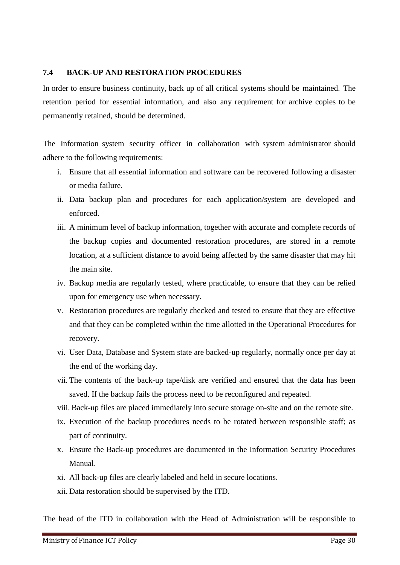# <span id="page-45-0"></span>**7.4 BACK-UP AND RESTORATION PROCEDURES**

In order to ensure business continuity, back up of all critical systems should be maintained. The retention period for essential information, and also any requirement for archive copies to be permanently retained, should be determined.

The Information system security officer in collaboration with system administrator should adhere to the following requirements:

- i. Ensure that all essential information and software can be recovered following a disaster or media failure.
- ii. Data backup plan and procedures for each application/system are developed and enforced.
- iii. A minimum level of backup information, together with accurate and complete records of the backup copies and documented restoration procedures, are stored in a remote location, at a sufficient distance to avoid being affected by the same disaster that may hit the main site.
- iv. Backup media are regularly tested, where practicable, to ensure that they can be relied upon for emergency use when necessary.
- v. Restoration procedures are regularly checked and tested to ensure that they are effective and that they can be completed within the time allotted in the Operational Procedures for recovery.
- vi. User Data, Database and System state are backed-up regularly, normally once per day at the end of the working day.
- vii. The contents of the back-up tape/disk are verified and ensured that the data has been saved. If the backup fails the process need to be reconfigured and repeated.
- viii. Back-up files are placed immediately into secure storage on-site and on the remote site.
- ix. Execution of the backup procedures needs to be rotated between responsible staff; as part of continuity.
- x. Ensure the Back-up procedures are documented in the Information Security Procedures Manual.
- xi. All back-up files are clearly labeled and held in secure locations.
- xii. Data restoration should be supervised by the ITD.

The head of the ITD in collaboration with the Head of Administration will be responsible to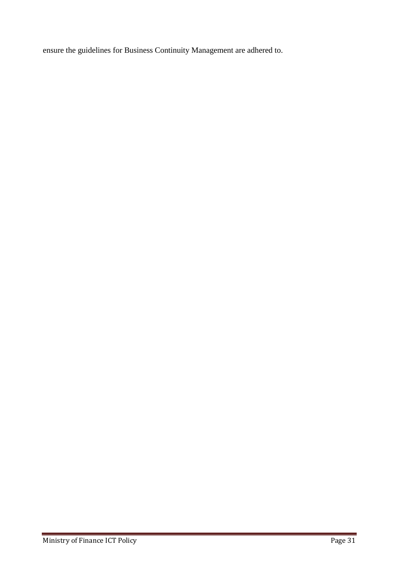ensure the guidelines for Business Continuity Management are adhered to.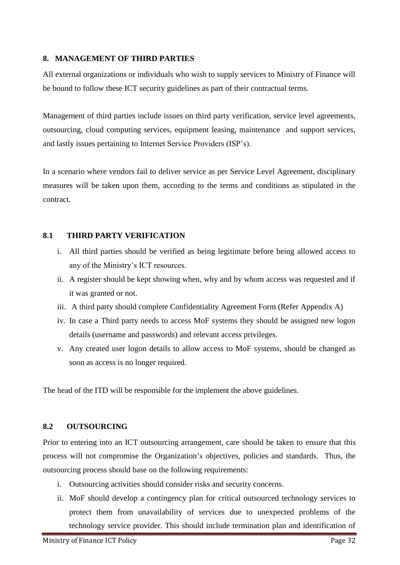# <span id="page-47-0"></span>**8. MANAGEMENT OF THIRD PARTIES**

All external organizations or individuals who wish to supply services to Ministry of Finance will be bound to follow these ICT security guidelines as part of their contractual terms.

Management of third parties include issues on third party verification, service level agreements, outsourcing, cloud computing services, equipment leasing, maintenance and support services, and lastly issues pertaining to Internet Service Providers (ISP"s).

In a scenario where vendors fail to deliver service as per Service Level Agreement, disciplinary measures will be taken upon them, according to the terms and conditions as stipulated in the contract.

# <span id="page-47-1"></span>**8.1 THIRD PARTY VERIFICATION**

- i. All third parties should be verified as being legitimate before being allowed access to any of the Ministry"s ICT resources.
- ii. A register should be kept showing when, why and by whom access was requested and if it was granted or not.
- iii. A third party should complete Confidentiality Agreement Form (Refer Appendix A)
- iv. In case a Third party needs to access MoF systems they should be assigned new logon details (username and passwords) and relevant access privileges.
- v. Any created user logon details to allow access to MoF systems, should be changed as soon as access is no longer required.

The head of the ITD will be responsible for the implement the above guidelines.

# <span id="page-47-2"></span>**8.2 OUTSOURCING**

Prior to entering into an ICT outsourcing arrangement, care should be taken to ensure that this process will not compromise the Organization"s objectives, policies and standards. Thus, the outsourcing process should base on the following requirements:

- i. Outsourcing activities should consider risks and security concerns.
- ii. MoF should develop a contingency plan for critical outsourced technology services to protect them from unavailability of services due to unexpected problems of the technology service provider. This should include termination plan and identification of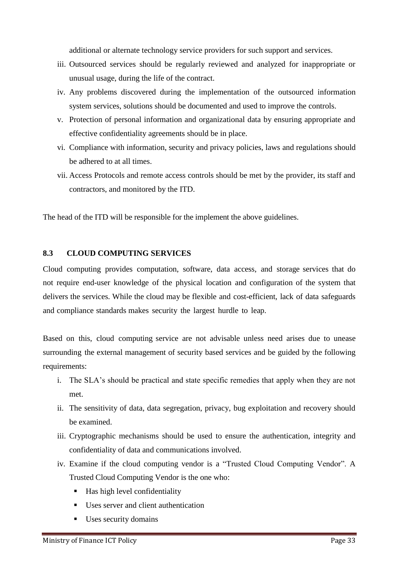additional or alternate technology service providers for such support and services.

- iii. Outsourced services should be regularly reviewed and analyzed for inappropriate or unusual usage, during the life of the contract.
- iv. Any problems discovered during the implementation of the outsourced information system services, solutions should be documented and used to improve the controls.
- v. Protection of personal information and organizational data by ensuring appropriate and effective confidentiality agreements should be in place.
- vi. Compliance with information, security and privacy policies, laws and regulations should be adhered to at all times.
- vii. Access Protocols and remote access controls should be met by the provider, its staff and contractors, and monitored by the ITD.

The head of the ITD will be responsible for the implement the above guidelines.

# <span id="page-48-0"></span>**8.3 CLOUD COMPUTING SERVICES**

Cloud computing provides computation, software, data access, and storage services that do not require end-user knowledge of the physical location and configuration of the system that delivers the services. While the cloud may be flexible and cost-efficient, lack of data safeguards and compliance standards makes security the largest hurdle to leap.

Based on this, cloud computing service are not advisable unless need arises due to unease surrounding the external management of security based services and be guided by the following requirements:

- i. The SLA"s should be practical and state specific remedies that apply when they are not met.
- ii. The sensitivity of data, data segregation, privacy, bug exploitation and recovery should be examined.
- iii. Cryptographic mechanisms should be used to ensure the authentication, integrity and confidentiality of data and communications involved.
- iv. Examine if the cloud computing vendor is a "Trusted Cloud Computing Vendor". A Trusted Cloud Computing Vendor is the one who:
	- Has high level confidentiality
	- Uses server and client authentication
	- Uses security domains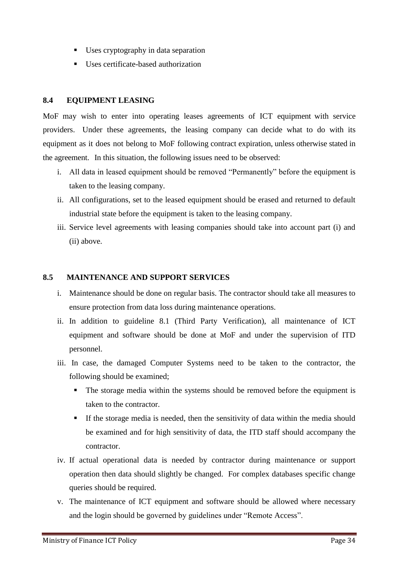- Uses cryptography in data separation
- Uses certificate-based authorization

# <span id="page-49-0"></span>**8.4 EQUIPMENT LEASING**

MoF may wish to enter into operating leases agreements of ICT equipment with service providers. Under these agreements, the leasing company can decide what to do with its equipment as it does not belong to MoF following contract expiration, unless otherwise stated in the agreement. In this situation, the following issues need to be observed:

- i. All data in leased equipment should be removed "Permanently" before the equipment is taken to the leasing company.
- ii. All configurations, set to the leased equipment should be erased and returned to default industrial state before the equipment is taken to the leasing company.
- iii. Service level agreements with leasing companies should take into account part (i) and (ii) above.

# <span id="page-49-1"></span>**8.5 MAINTENANCE AND SUPPORT SERVICES**

- i. Maintenance should be done on regular basis. The contractor should take all measures to ensure protection from data loss during maintenance operations.
- ii. In addition to guideline 8.1 (Third Party Verification), all maintenance of ICT equipment and software should be done at MoF and under the supervision of ITD personnel.
- iii. In case, the damaged Computer Systems need to be taken to the contractor, the following should be examined;
	- The storage media within the systems should be removed before the equipment is taken to the contractor.
	- If the storage media is needed, then the sensitivity of data within the media should be examined and for high sensitivity of data, the ITD staff should accompany the contractor.
- iv. If actual operational data is needed by contractor during maintenance or support operation then data should slightly be changed. For complex databases specific change queries should be required.
- v. The maintenance of ICT equipment and software should be allowed where necessary and the login should be governed by guidelines under "Remote Access".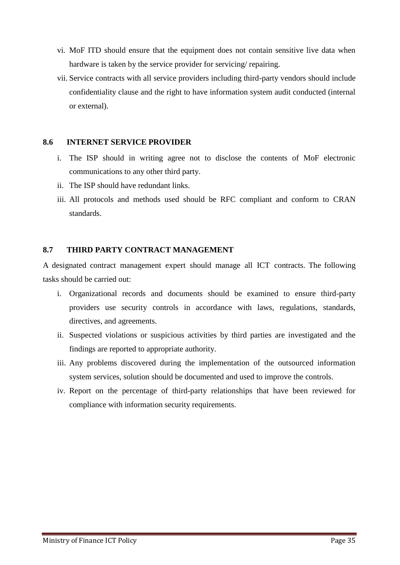- vi. MoF ITD should ensure that the equipment does not contain sensitive live data when hardware is taken by the service provider for servicing/ repairing.
- vii. Service contracts with all service providers including third-party vendors should include confidentiality clause and the right to have information system audit conducted (internal or external).

### <span id="page-50-0"></span>**8.6 INTERNET SERVICE PROVIDER**

- i. The ISP should in writing agree not to disclose the contents of MoF electronic communications to any other third party.
- ii. The ISP should have redundant links.
- iii. All protocols and methods used should be RFC compliant and conform to CRAN standards.

# <span id="page-50-1"></span>**8.7 THIRD PARTY CONTRACT MANAGEMENT**

A designated contract management expert should manage all ICT contracts. The following tasks should be carried out:

- i. Organizational records and documents should be examined to ensure third-party providers use security controls in accordance with laws, regulations, standards, directives, and agreements.
- ii. Suspected violations or suspicious activities by third parties are investigated and the findings are reported to appropriate authority.
- iii. Any problems discovered during the implementation of the outsourced information system services, solution should be documented and used to improve the controls.
- iv. Report on the percentage of third-party relationships that have been reviewed for compliance with information security requirements.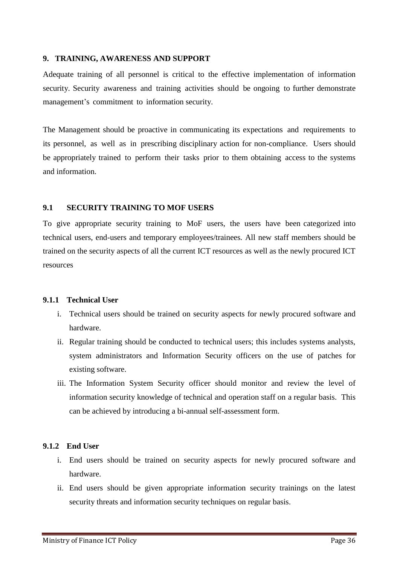#### <span id="page-51-0"></span>**9. TRAINING, AWARENESS AND SUPPORT**

Adequate training of all personnel is critical to the effective implementation of information security. Security awareness and training activities should be ongoing to further demonstrate management's commitment to information security.

The Management should be proactive in communicating its expectations and requirements to its personnel, as well as in prescribing disciplinary action for non-compliance. Users should be appropriately trained to perform their tasks prior to them obtaining access to the systems and information.

# <span id="page-51-1"></span>**9.1 SECURITY TRAINING TO MOF USERS**

To give appropriate security training to MoF users, the users have been categorized into technical users, end-users and temporary employees/trainees. All new staff members should be trained on the security aspects of all the current ICT resources as well as the newly procured ICT resources

# <span id="page-51-2"></span>**9.1.1 Technical User**

- i. Technical users should be trained on security aspects for newly procured software and hardware.
- ii. Regular training should be conducted to technical users; this includes systems analysts, system administrators and Information Security officers on the use of patches for existing software.
- iii. The Information System Security officer should monitor and review the level of information security knowledge of technical and operation staff on a regular basis. This can be achieved by introducing a bi-annual self-assessment form.

# <span id="page-51-3"></span>**9.1.2 End User**

- i. End users should be trained on security aspects for newly procured software and hardware.
- ii. End users should be given appropriate information security trainings on the latest security threats and information security techniques on regular basis.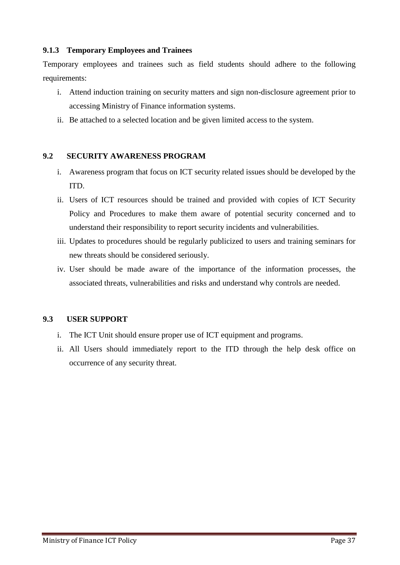# <span id="page-52-0"></span>**9.1.3 Temporary Employees and Trainees**

Temporary employees and trainees such as field students should adhere to the following requirements:

- i. Attend induction training on security matters and sign non-disclosure agreement prior to accessing Ministry of Finance information systems.
- ii. Be attached to a selected location and be given limited access to the system.

# <span id="page-52-1"></span>**9.2 SECURITY AWARENESS PROGRAM**

- i. Awareness program that focus on ICT security related issues should be developed by the ITD.
- ii. Users of ICT resources should be trained and provided with copies of ICT Security Policy and Procedures to make them aware of potential security concerned and to understand their responsibility to report security incidents and vulnerabilities.
- iii. Updates to procedures should be regularly publicized to users and training seminars for new threats should be considered seriously.
- iv. User should be made aware of the importance of the information processes, the associated threats, vulnerabilities and risks and understand why controls are needed.

# <span id="page-52-2"></span>**9.3 USER SUPPORT**

- i. The ICT Unit should ensure proper use of ICT equipment and programs.
- ii. All Users should immediately report to the ITD through the help desk office on occurrence of any security threat.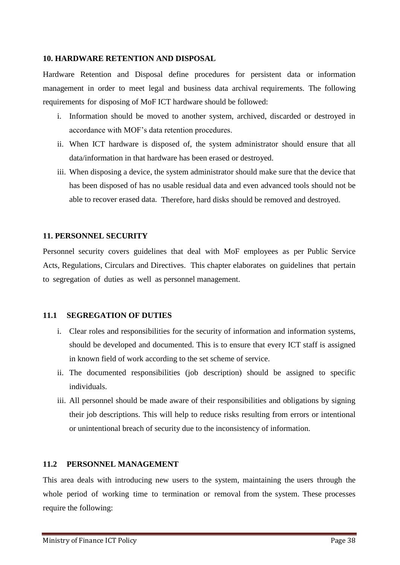#### <span id="page-53-0"></span>**10. HARDWARE RETENTION AND DISPOSAL**

Hardware Retention and Disposal define procedures for persistent data or information management in order to meet legal and business data archival requirements. The following requirements for disposing of MoF ICT hardware should be followed:

- i. Information should be moved to another system, archived, discarded or destroyed in accordance with MOF"s data retention procedures.
- ii. When ICT hardware is disposed of, the system administrator should ensure that all data/information in that hardware has been erased or destroyed.
- iii. When disposing a device, the system administrator should make sure that the device that has been disposed of has no usable residual data and even advanced tools should not be able to recover erased data. Therefore, hard disks should be removed and destroyed.

#### <span id="page-53-1"></span>**11. PERSONNEL SECURITY**

Personnel security covers guidelines that deal with MoF employees as per Public Service Acts, Regulations, Circulars and Directives. This chapter elaborates on guidelines that pertain to segregation of duties as well as personnel management.

#### <span id="page-53-2"></span>**11.1 SEGREGATION OF DUTIES**

- i. Clear roles and responsibilities for the security of information and information systems, should be developed and documented. This is to ensure that every ICT staff is assigned in known field of work according to the set scheme of service.
- ii. The documented responsibilities (job description) should be assigned to specific individuals.
- iii. All personnel should be made aware of their responsibilities and obligations by signing their job descriptions. This will help to reduce risks resulting from errors or intentional or unintentional breach of security due to the inconsistency of information.

#### <span id="page-53-3"></span>**11.2 PERSONNEL MANAGEMENT**

This area deals with introducing new users to the system, maintaining the users through the whole period of working time to termination or removal from the system. These processes require the following: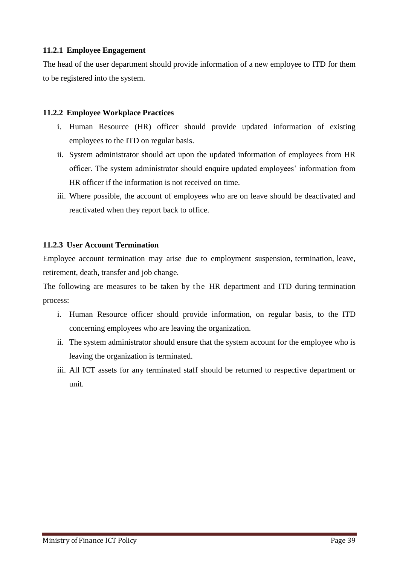# <span id="page-54-0"></span>**11.2.1 Employee Engagement**

The head of the user department should provide information of a new employee to ITD for them to be registered into the system.

# <span id="page-54-1"></span>**11.2.2 Employee Workplace Practices**

- i. Human Resource (HR) officer should provide updated information of existing employees to the ITD on regular basis.
- ii. System administrator should act upon the updated information of employees from HR officer. The system administrator should enquire updated employees" information from HR officer if the information is not received on time.
- iii. Where possible, the account of employees who are on leave should be deactivated and reactivated when they report back to office.

# <span id="page-54-2"></span>**11.2.3 User Account Termination**

Employee account termination may arise due to employment suspension, termination, leave, retirement, death, transfer and job change.

The following are measures to be taken by the HR department and ITD during termination process:

- i. Human Resource officer should provide information, on regular basis, to the ITD concerning employees who are leaving the organization.
- ii. The system administrator should ensure that the system account for the employee who is leaving the organization is terminated.
- iii. All ICT assets for any terminated staff should be returned to respective department or unit.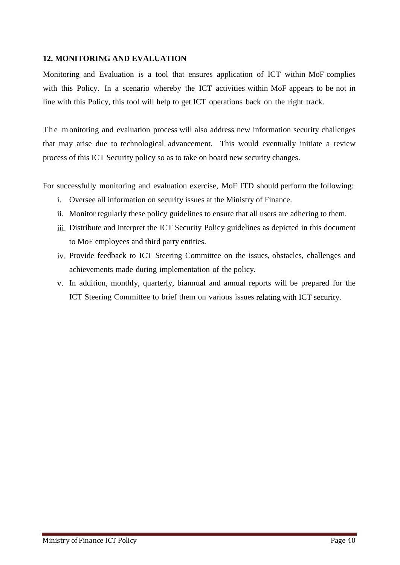# <span id="page-55-0"></span>**12. MONITORING AND EVALUATION**

Monitoring and Evaluation is a tool that ensures application of ICT within MoF complies with this Policy. In a scenario whereby the ICT activities within MoF appears to be not in line with this Policy, this tool will help to get ICT operations back on the right track.

The monitoring and evaluation process will also address new information security challenges that may arise due to technological advancement. This would eventually initiate a review process of this ICT Security policy so as to take on board new security changes.

For successfully monitoring and evaluation exercise, MoF ITD should perform the following:

- i. Oversee all information on security issues at the Ministry of Finance.
- ii. Monitor regularly these policy guidelines to ensure that all users are adhering to them.
- iii. Distribute and interpret the ICT Security Policy guidelines as depicted in this document to MoF employees and third party entities.
- iv. Provide feedback to ICT Steering Committee on the issues, obstacles, challenges and achievements made during implementation of the policy.
- v. In addition, monthly, quarterly, biannual and annual reports will be prepared for the ICT Steering Committee to brief them on various issues relating with ICT security.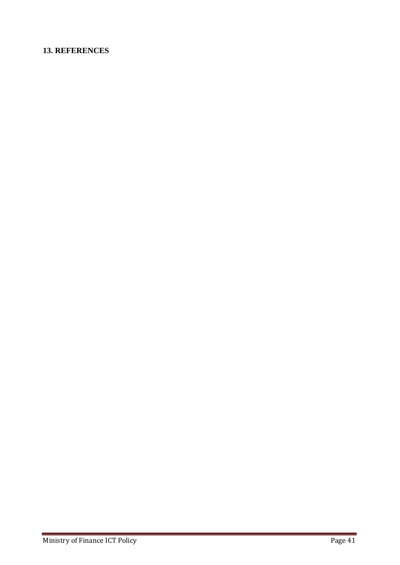# <span id="page-56-0"></span>**13. REFERENCES**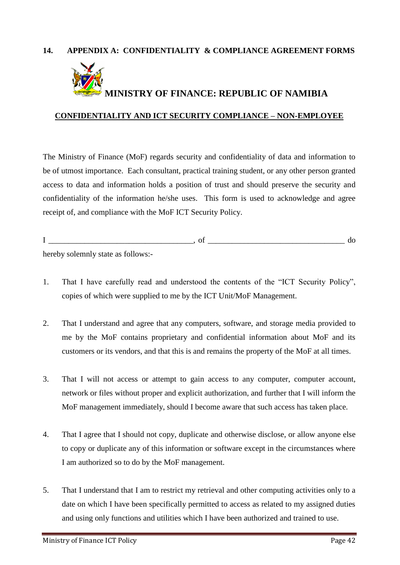# <span id="page-57-0"></span>**14. APPENDIX A: CONFIDENTIALITY & COMPLIANCE AGREEMENT FORMS**



# **MINISTRY OF FINANCE: REPUBLIC OF NAMIBIA**

#### **CONFIDENTIALITY AND ICT SECURITY COMPLIANCE – NON-EMPLOYEE**

The Ministry of Finance (MoF) regards security and confidentiality of data and information to be of utmost importance. Each consultant, practical training student, or any other person granted access to data and information holds a position of trust and should preserve the security and confidentiality of the information he/she uses. This form is used to acknowledge and agree receipt of, and compliance with the MoF ICT Security Policy.

I \_\_\_\_\_\_\_\_\_\_\_\_\_\_\_\_\_\_\_\_\_\_\_\_\_\_\_\_\_\_\_\_\_\_\_\_, of \_\_\_\_\_\_\_\_\_\_\_\_\_\_\_\_\_\_\_\_\_\_\_\_\_\_\_\_\_\_\_\_\_\_ do

hereby solemnly state as follows:-

- 1. That I have carefully read and understood the contents of the "ICT Security Policy", copies of which were supplied to me by the ICT Unit/MoF Management.
- 2. That I understand and agree that any computers, software, and storage media provided to me by the MoF contains proprietary and confidential information about MoF and its customers or its vendors, and that this is and remains the property of the MoF at all times.
- 3. That I will not access or attempt to gain access to any computer, computer account, network or files without proper and explicit authorization, and further that I will inform the MoF management immediately, should I become aware that such access has taken place.
- 4. That I agree that I should not copy, duplicate and otherwise disclose, or allow anyone else to copy or duplicate any of this information or software except in the circumstances where I am authorized so to do by the MoF management.
- 5. That I understand that I am to restrict my retrieval and other computing activities only to a date on which I have been specifically permitted to access as related to my assigned duties and using only functions and utilities which I have been authorized and trained to use.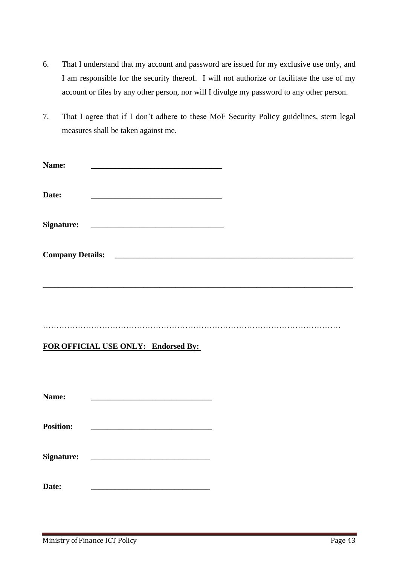- 6. That I understand that my account and password are issued for my exclusive use only, and I am responsible for the security thereof. I will not authorize or facilitate the use of my account or files by any other person, nor will I divulge my password to any other person.
- 7. That I agree that if I don"t adhere to these MoF Security Policy guidelines, stern legal measures shall be taken against me.

| Name:            |                                                          |  |  |
|------------------|----------------------------------------------------------|--|--|
| Date:            |                                                          |  |  |
|                  |                                                          |  |  |
|                  |                                                          |  |  |
|                  |                                                          |  |  |
|                  |                                                          |  |  |
|                  |                                                          |  |  |
|                  |                                                          |  |  |
|                  | FOR OFFICIAL USE ONLY: Endorsed By:                      |  |  |
|                  |                                                          |  |  |
| Name:            |                                                          |  |  |
| <b>Position:</b> | <u> 1980 - Jan James James Barnett, fransk politik (</u> |  |  |
|                  |                                                          |  |  |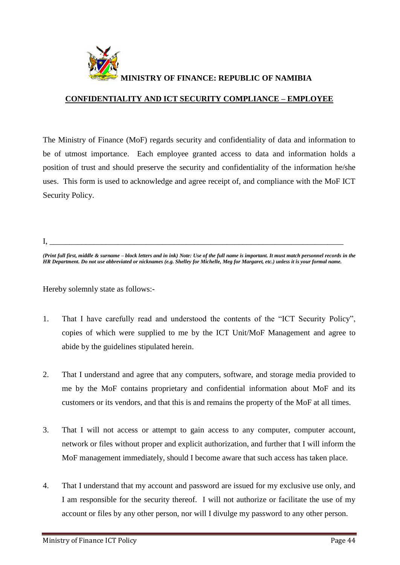<span id="page-59-0"></span>

# **CONFIDENTIALITY AND ICT SECURITY COMPLIANCE – EMPLOYEE**

The Ministry of Finance (MoF) regards security and confidentiality of data and information to be of utmost importance. Each employee granted access to data and information holds a position of trust and should preserve the security and confidentiality of the information he/she uses. This form is used to acknowledge and agree receipt of, and compliance with the MoF ICT Security Policy.

I, \_\_\_\_\_\_\_\_\_\_\_\_\_\_\_\_\_\_\_\_\_\_\_\_\_\_\_\_\_\_\_\_\_\_\_\_\_\_\_\_\_\_\_\_\_\_\_\_\_\_\_\_\_\_\_\_\_\_\_\_\_\_\_\_\_\_\_\_\_\_\_\_\_

*(Print full first, middle & surname – block letters and in ink) Note: Use of the full name is important. It must match personnel records in the HR Department. Do not use abbreviated or nicknames (e.g. Shelley for Michelle, Meg for Margaret, etc.) unless it is your formal name.*

Hereby solemnly state as follows:-

- 1. That I have carefully read and understood the contents of the "ICT Security Policy", copies of which were supplied to me by the ICT Unit/MoF Management and agree to abide by the guidelines stipulated herein.
- 2. That I understand and agree that any computers, software, and storage media provided to me by the MoF contains proprietary and confidential information about MoF and its customers or its vendors, and that this is and remains the property of the MoF at all times.
- 3. That I will not access or attempt to gain access to any computer, computer account, network or files without proper and explicit authorization, and further that I will inform the MoF management immediately, should I become aware that such access has taken place.
- 4. That I understand that my account and password are issued for my exclusive use only, and I am responsible for the security thereof. I will not authorize or facilitate the use of my account or files by any other person, nor will I divulge my password to any other person.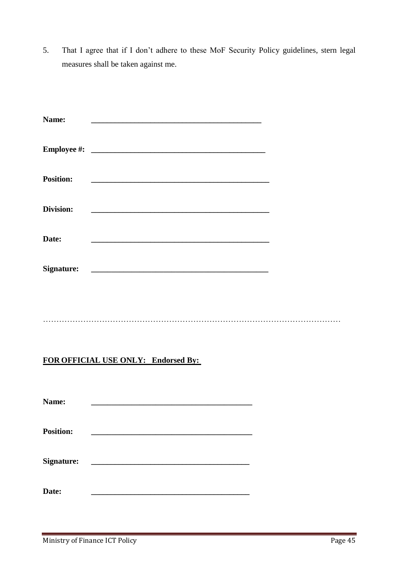5. That I agree that if I don"t adhere to these MoF Security Policy guidelines, stern legal measures shall be taken against me.

| Name:                                                                         |  |
|-------------------------------------------------------------------------------|--|
|                                                                               |  |
| <b>Position:</b><br><u> 2000 - Andrea Andrew Maria (h. 1888).</u>             |  |
| Division:<br><u> 1980 - Johann Stoff, fransk politik amerikansk politik (</u> |  |
| Date:                                                                         |  |
| <b>Signature:</b>                                                             |  |
|                                                                               |  |
| FOR OFFICIAL USE ONLY: Endorsed By:                                           |  |
|                                                                               |  |
| Name:                                                                         |  |

| <b>Position:</b>  |  |  |
|-------------------|--|--|
|                   |  |  |
|                   |  |  |
| <b>Signature:</b> |  |  |

**Date: \_\_\_\_\_\_\_\_\_\_\_\_\_\_\_\_\_\_\_\_\_\_\_\_\_\_\_\_\_\_\_\_\_\_\_\_\_\_\_\_**